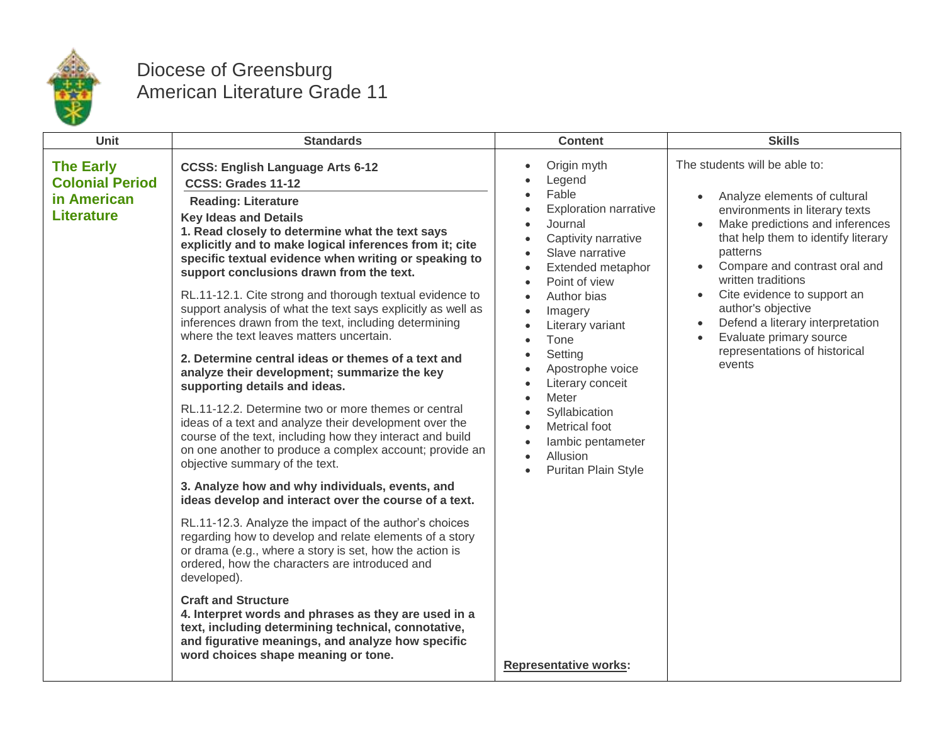

## Diocese of Greensburg American Literature Grade 11

| Unit                                                                           | <b>Standards</b>                                                                                                                                                                                                                                                                                                                                                                                                                                                                                                                                                                                                                                                                                                                                                                                                                                                                                                                                                                                                                                                                                                                                                                                                                                                                                                                                                                                                                                                                                                                                                                                        | <b>Content</b>                                                                                                                                                                                                                                                                                                                                                                                                                         | <b>Skills</b>                                                                                                                                                                                                                                                                                                                                                                                                                                      |
|--------------------------------------------------------------------------------|---------------------------------------------------------------------------------------------------------------------------------------------------------------------------------------------------------------------------------------------------------------------------------------------------------------------------------------------------------------------------------------------------------------------------------------------------------------------------------------------------------------------------------------------------------------------------------------------------------------------------------------------------------------------------------------------------------------------------------------------------------------------------------------------------------------------------------------------------------------------------------------------------------------------------------------------------------------------------------------------------------------------------------------------------------------------------------------------------------------------------------------------------------------------------------------------------------------------------------------------------------------------------------------------------------------------------------------------------------------------------------------------------------------------------------------------------------------------------------------------------------------------------------------------------------------------------------------------------------|----------------------------------------------------------------------------------------------------------------------------------------------------------------------------------------------------------------------------------------------------------------------------------------------------------------------------------------------------------------------------------------------------------------------------------------|----------------------------------------------------------------------------------------------------------------------------------------------------------------------------------------------------------------------------------------------------------------------------------------------------------------------------------------------------------------------------------------------------------------------------------------------------|
| <b>The Early</b><br><b>Colonial Period</b><br>in American<br><b>Literature</b> | <b>CCSS: English Language Arts 6-12</b><br>CCSS: Grades 11-12<br><b>Reading: Literature</b><br><b>Key Ideas and Details</b><br>1. Read closely to determine what the text says<br>explicitly and to make logical inferences from it; cite<br>specific textual evidence when writing or speaking to<br>support conclusions drawn from the text.<br>RL.11-12.1. Cite strong and thorough textual evidence to<br>support analysis of what the text says explicitly as well as<br>inferences drawn from the text, including determining<br>where the text leaves matters uncertain.<br>2. Determine central ideas or themes of a text and<br>analyze their development; summarize the key<br>supporting details and ideas.<br>RL.11-12.2. Determine two or more themes or central<br>ideas of a text and analyze their development over the<br>course of the text, including how they interact and build<br>on one another to produce a complex account; provide an<br>objective summary of the text.<br>3. Analyze how and why individuals, events, and<br>ideas develop and interact over the course of a text.<br>RL.11-12.3. Analyze the impact of the author's choices<br>regarding how to develop and relate elements of a story<br>or drama (e.g., where a story is set, how the action is<br>ordered, how the characters are introduced and<br>developed).<br><b>Craft and Structure</b><br>4. Interpret words and phrases as they are used in a<br>text, including determining technical, connotative,<br>and figurative meanings, and analyze how specific<br>word choices shape meaning or tone. | Origin myth<br>Legend<br>Fable<br><b>Exploration narrative</b><br>Journal<br>Captivity narrative<br>Slave narrative<br>$\bullet$<br>Extended metaphor<br>$\bullet$<br>Point of view<br>Author bias<br>Imagery<br>Literary variant<br>Tone<br>Setting<br>Apostrophe voice<br>Literary conceit<br>Meter<br>Syllabication<br>Metrical foot<br>lambic pentameter<br>Allusion<br><b>Puritan Plain Style</b><br><b>Representative works:</b> | The students will be able to:<br>Analyze elements of cultural<br>$\bullet$<br>environments in literary texts<br>Make predictions and inferences<br>that help them to identify literary<br>patterns<br>Compare and contrast oral and<br>written traditions<br>Cite evidence to support an<br>$\bullet$<br>author's objective<br>Defend a literary interpretation<br>$\bullet$<br>Evaluate primary source<br>representations of historical<br>events |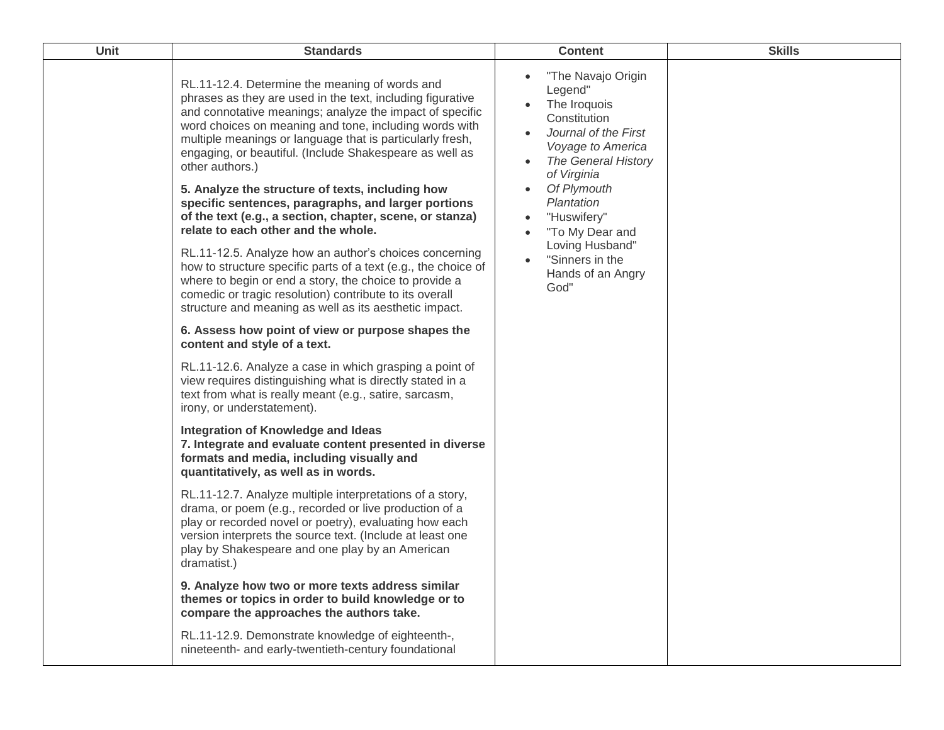| Unit | <b>Standards</b>                                                                                                                                                                                                                                                                                                                                                                                                                                                                                                                                                                                                                                                                                                                                                                                                                                                                                       | <b>Content</b>                                                                                                                                                                                                                                                                                                      | <b>Skills</b> |
|------|--------------------------------------------------------------------------------------------------------------------------------------------------------------------------------------------------------------------------------------------------------------------------------------------------------------------------------------------------------------------------------------------------------------------------------------------------------------------------------------------------------------------------------------------------------------------------------------------------------------------------------------------------------------------------------------------------------------------------------------------------------------------------------------------------------------------------------------------------------------------------------------------------------|---------------------------------------------------------------------------------------------------------------------------------------------------------------------------------------------------------------------------------------------------------------------------------------------------------------------|---------------|
|      | RL.11-12.4. Determine the meaning of words and<br>phrases as they are used in the text, including figurative<br>and connotative meanings; analyze the impact of specific<br>word choices on meaning and tone, including words with<br>multiple meanings or language that is particularly fresh,<br>engaging, or beautiful. (Include Shakespeare as well as<br>other authors.)<br>5. Analyze the structure of texts, including how<br>specific sentences, paragraphs, and larger portions<br>of the text (e.g., a section, chapter, scene, or stanza)<br>relate to each other and the whole.<br>RL.11-12.5. Analyze how an author's choices concerning<br>how to structure specific parts of a text (e.g., the choice of<br>where to begin or end a story, the choice to provide a<br>comedic or tragic resolution) contribute to its overall<br>structure and meaning as well as its aesthetic impact. | "The Navajo Origin<br>Legend"<br>The Iroquois<br>Constitution<br>Journal of the First<br>$\bullet$<br>Voyage to America<br><b>The General History</b><br>of Virginia<br>Of Plymouth<br>Plantation<br>"Huswifery"<br>"To My Dear and<br>$\bullet$<br>Loving Husband"<br>"Sinners in the<br>Hands of an Angry<br>God" |               |
|      | 6. Assess how point of view or purpose shapes the<br>content and style of a text.                                                                                                                                                                                                                                                                                                                                                                                                                                                                                                                                                                                                                                                                                                                                                                                                                      |                                                                                                                                                                                                                                                                                                                     |               |
|      | RL.11-12.6. Analyze a case in which grasping a point of<br>view requires distinguishing what is directly stated in a<br>text from what is really meant (e.g., satire, sarcasm,<br>irony, or understatement).                                                                                                                                                                                                                                                                                                                                                                                                                                                                                                                                                                                                                                                                                           |                                                                                                                                                                                                                                                                                                                     |               |
|      | <b>Integration of Knowledge and Ideas</b><br>7. Integrate and evaluate content presented in diverse<br>formats and media, including visually and<br>quantitatively, as well as in words.                                                                                                                                                                                                                                                                                                                                                                                                                                                                                                                                                                                                                                                                                                               |                                                                                                                                                                                                                                                                                                                     |               |
|      | RL.11-12.7. Analyze multiple interpretations of a story,<br>drama, or poem (e.g., recorded or live production of a<br>play or recorded novel or poetry), evaluating how each<br>version interprets the source text. (Include at least one<br>play by Shakespeare and one play by an American<br>dramatist.)                                                                                                                                                                                                                                                                                                                                                                                                                                                                                                                                                                                            |                                                                                                                                                                                                                                                                                                                     |               |
|      | 9. Analyze how two or more texts address similar<br>themes or topics in order to build knowledge or to<br>compare the approaches the authors take.                                                                                                                                                                                                                                                                                                                                                                                                                                                                                                                                                                                                                                                                                                                                                     |                                                                                                                                                                                                                                                                                                                     |               |
|      | RL.11-12.9. Demonstrate knowledge of eighteenth-,<br>nineteenth- and early-twentieth-century foundational                                                                                                                                                                                                                                                                                                                                                                                                                                                                                                                                                                                                                                                                                                                                                                                              |                                                                                                                                                                                                                                                                                                                     |               |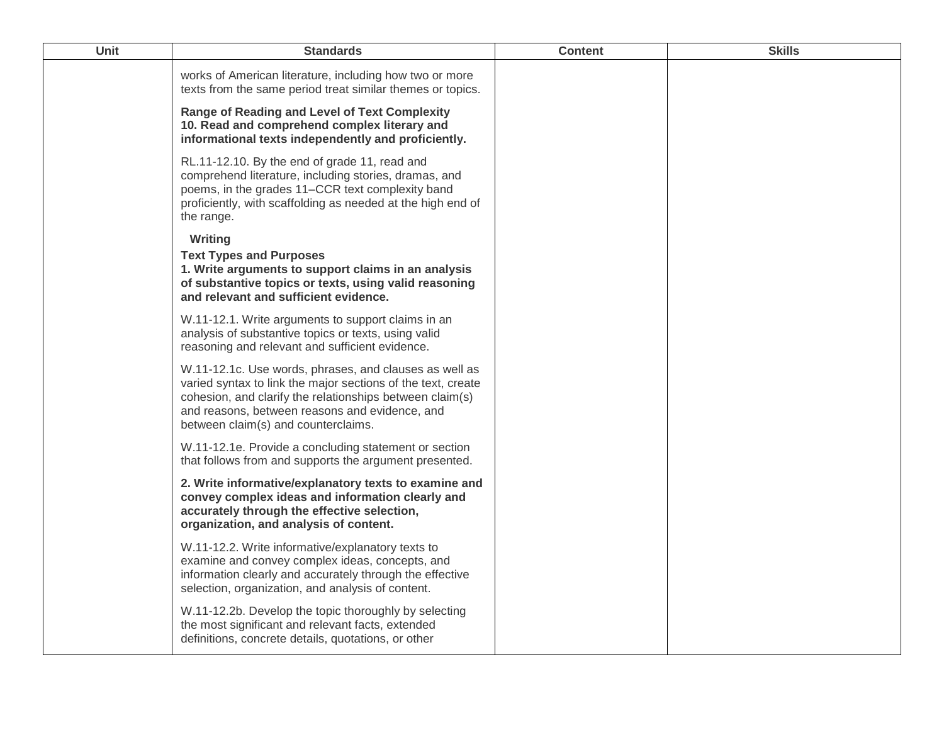| <b>Unit</b> | <b>Standards</b>                                                                                                                                                                                                                                                            | <b>Content</b> | <b>Skills</b> |
|-------------|-----------------------------------------------------------------------------------------------------------------------------------------------------------------------------------------------------------------------------------------------------------------------------|----------------|---------------|
|             | works of American literature, including how two or more<br>texts from the same period treat similar themes or topics.                                                                                                                                                       |                |               |
|             | <b>Range of Reading and Level of Text Complexity</b><br>10. Read and comprehend complex literary and<br>informational texts independently and proficiently.                                                                                                                 |                |               |
|             | RL.11-12.10. By the end of grade 11, read and<br>comprehend literature, including stories, dramas, and<br>poems, in the grades 11–CCR text complexity band<br>proficiently, with scaffolding as needed at the high end of<br>the range.                                     |                |               |
|             | Writing<br><b>Text Types and Purposes</b><br>1. Write arguments to support claims in an analysis<br>of substantive topics or texts, using valid reasoning<br>and relevant and sufficient evidence.                                                                          |                |               |
|             | W.11-12.1. Write arguments to support claims in an<br>analysis of substantive topics or texts, using valid<br>reasoning and relevant and sufficient evidence.                                                                                                               |                |               |
|             | W.11-12.1c. Use words, phrases, and clauses as well as<br>varied syntax to link the major sections of the text, create<br>cohesion, and clarify the relationships between claim(s)<br>and reasons, between reasons and evidence, and<br>between claim(s) and counterclaims. |                |               |
|             | W.11-12.1e. Provide a concluding statement or section<br>that follows from and supports the argument presented.                                                                                                                                                             |                |               |
|             | 2. Write informative/explanatory texts to examine and<br>convey complex ideas and information clearly and<br>accurately through the effective selection,<br>organization, and analysis of content.                                                                          |                |               |
|             | W.11-12.2. Write informative/explanatory texts to<br>examine and convey complex ideas, concepts, and<br>information clearly and accurately through the effective<br>selection, organization, and analysis of content.                                                       |                |               |
|             | W.11-12.2b. Develop the topic thoroughly by selecting<br>the most significant and relevant facts, extended<br>definitions, concrete details, quotations, or other                                                                                                           |                |               |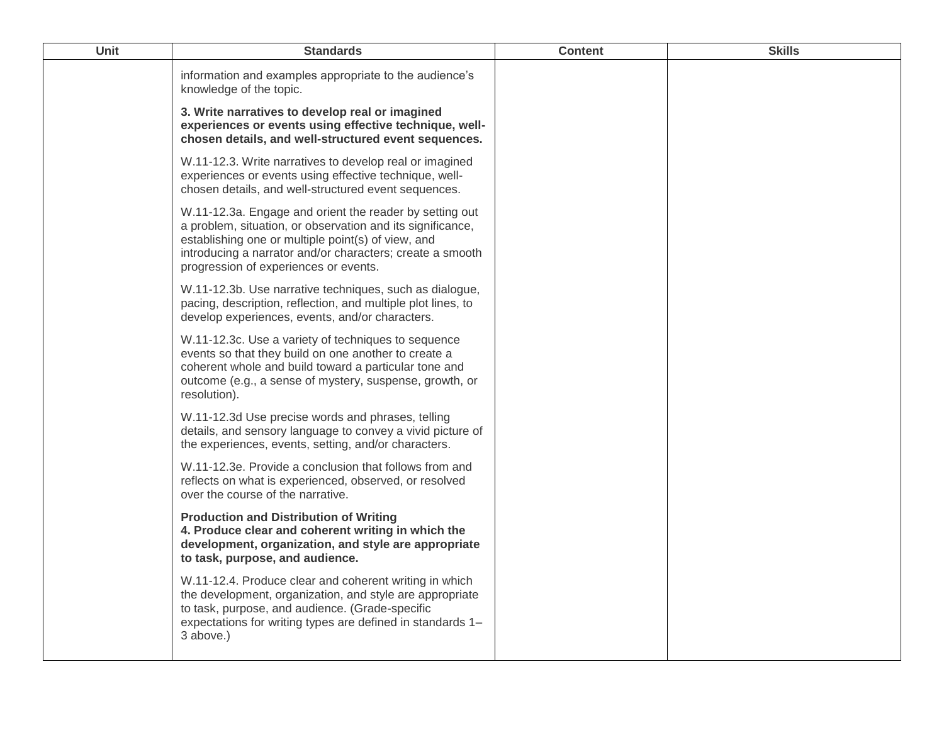| Unit | <b>Standards</b>                                                                                                                                                                                                                                                                  | <b>Content</b> | <b>Skills</b> |
|------|-----------------------------------------------------------------------------------------------------------------------------------------------------------------------------------------------------------------------------------------------------------------------------------|----------------|---------------|
|      | information and examples appropriate to the audience's<br>knowledge of the topic.                                                                                                                                                                                                 |                |               |
|      | 3. Write narratives to develop real or imagined<br>experiences or events using effective technique, well-<br>chosen details, and well-structured event sequences.                                                                                                                 |                |               |
|      | W.11-12.3. Write narratives to develop real or imagined<br>experiences or events using effective technique, well-<br>chosen details, and well-structured event sequences.                                                                                                         |                |               |
|      | W.11-12.3a. Engage and orient the reader by setting out<br>a problem, situation, or observation and its significance,<br>establishing one or multiple point(s) of view, and<br>introducing a narrator and/or characters; create a smooth<br>progression of experiences or events. |                |               |
|      | W.11-12.3b. Use narrative techniques, such as dialogue,<br>pacing, description, reflection, and multiple plot lines, to<br>develop experiences, events, and/or characters.                                                                                                        |                |               |
|      | W.11-12.3c. Use a variety of techniques to sequence<br>events so that they build on one another to create a<br>coherent whole and build toward a particular tone and<br>outcome (e.g., a sense of mystery, suspense, growth, or<br>resolution).                                   |                |               |
|      | W.11-12.3d Use precise words and phrases, telling<br>details, and sensory language to convey a vivid picture of<br>the experiences, events, setting, and/or characters.                                                                                                           |                |               |
|      | W.11-12.3e. Provide a conclusion that follows from and<br>reflects on what is experienced, observed, or resolved<br>over the course of the narrative.                                                                                                                             |                |               |
|      | <b>Production and Distribution of Writing</b><br>4. Produce clear and coherent writing in which the<br>development, organization, and style are appropriate<br>to task, purpose, and audience.                                                                                    |                |               |
|      | W.11-12.4. Produce clear and coherent writing in which<br>the development, organization, and style are appropriate<br>to task, purpose, and audience. (Grade-specific<br>expectations for writing types are defined in standards 1-<br>3 above.)                                  |                |               |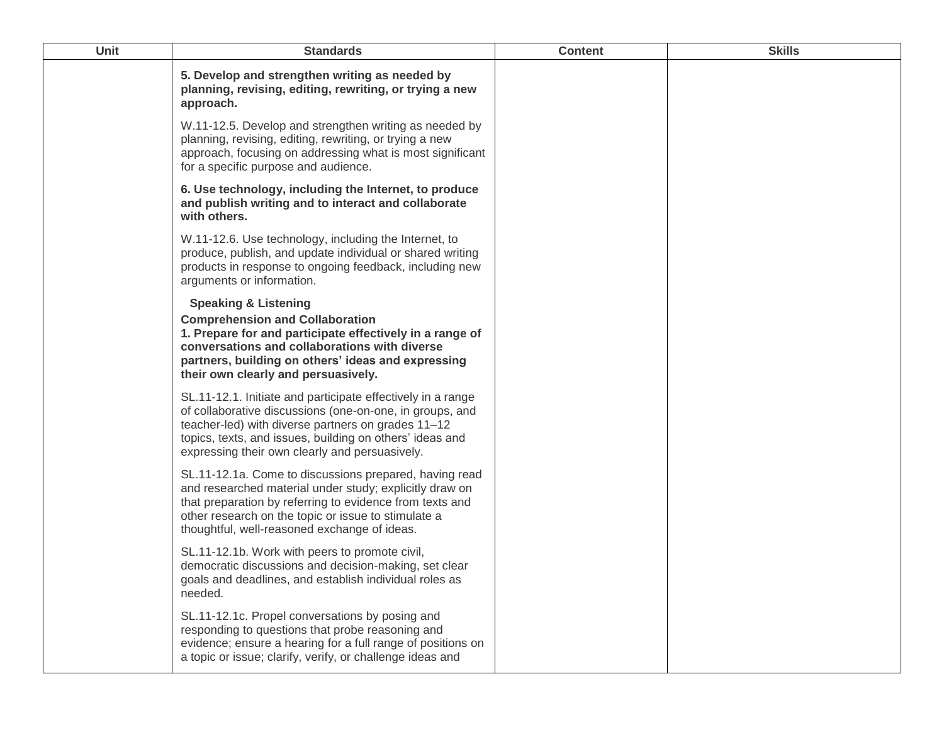| <b>Unit</b> | <b>Standards</b>                                                                                                                                                                                                                                                                            | <b>Content</b> | <b>Skills</b> |
|-------------|---------------------------------------------------------------------------------------------------------------------------------------------------------------------------------------------------------------------------------------------------------------------------------------------|----------------|---------------|
|             | 5. Develop and strengthen writing as needed by<br>planning, revising, editing, rewriting, or trying a new<br>approach.                                                                                                                                                                      |                |               |
|             | W.11-12.5. Develop and strengthen writing as needed by<br>planning, revising, editing, rewriting, or trying a new<br>approach, focusing on addressing what is most significant<br>for a specific purpose and audience.                                                                      |                |               |
|             | 6. Use technology, including the Internet, to produce<br>and publish writing and to interact and collaborate<br>with others.                                                                                                                                                                |                |               |
|             | W.11-12.6. Use technology, including the Internet, to<br>produce, publish, and update individual or shared writing<br>products in response to ongoing feedback, including new<br>arguments or information.                                                                                  |                |               |
|             | <b>Speaking &amp; Listening</b><br><b>Comprehension and Collaboration</b><br>1. Prepare for and participate effectively in a range of<br>conversations and collaborations with diverse<br>partners, building on others' ideas and expressing<br>their own clearly and persuasively.         |                |               |
|             | SL.11-12.1. Initiate and participate effectively in a range<br>of collaborative discussions (one-on-one, in groups, and<br>teacher-led) with diverse partners on grades 11-12<br>topics, texts, and issues, building on others' ideas and<br>expressing their own clearly and persuasively. |                |               |
|             | SL.11-12.1a. Come to discussions prepared, having read<br>and researched material under study; explicitly draw on<br>that preparation by referring to evidence from texts and<br>other research on the topic or issue to stimulate a<br>thoughtful, well-reasoned exchange of ideas.        |                |               |
|             | SL.11-12.1b. Work with peers to promote civil,<br>democratic discussions and decision-making, set clear<br>goals and deadlines, and establish individual roles as<br>needed.                                                                                                                |                |               |
|             | SL.11-12.1c. Propel conversations by posing and<br>responding to questions that probe reasoning and<br>evidence; ensure a hearing for a full range of positions on<br>a topic or issue; clarify, verify, or challenge ideas and                                                             |                |               |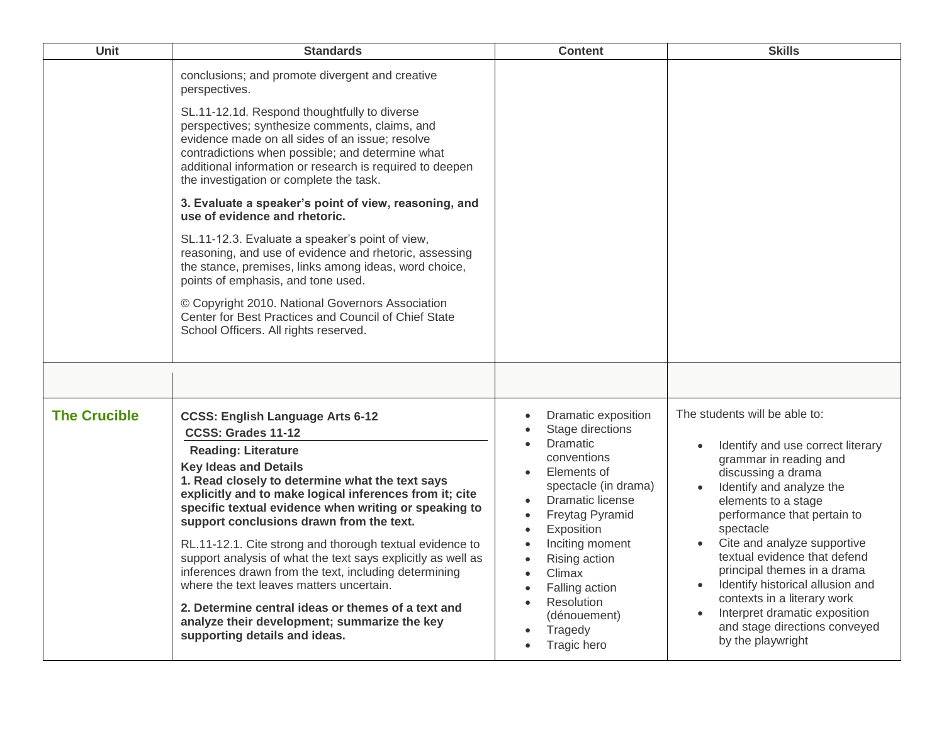| <b>Unit</b>         | <b>Standards</b>                                                                                                                                                                                                                                                                                                                                                                                                                                                                                                                                                                                                                                                                                                       | <b>Content</b>                                                                                                                                                                                                                                                                                                                                                       | <b>Skills</b>                                                                                                                                                                                                                                                                                                                                                                                                                                                             |
|---------------------|------------------------------------------------------------------------------------------------------------------------------------------------------------------------------------------------------------------------------------------------------------------------------------------------------------------------------------------------------------------------------------------------------------------------------------------------------------------------------------------------------------------------------------------------------------------------------------------------------------------------------------------------------------------------------------------------------------------------|----------------------------------------------------------------------------------------------------------------------------------------------------------------------------------------------------------------------------------------------------------------------------------------------------------------------------------------------------------------------|---------------------------------------------------------------------------------------------------------------------------------------------------------------------------------------------------------------------------------------------------------------------------------------------------------------------------------------------------------------------------------------------------------------------------------------------------------------------------|
|                     | conclusions; and promote divergent and creative<br>perspectives.<br>SL.11-12.1d. Respond thoughtfully to diverse<br>perspectives; synthesize comments, claims, and<br>evidence made on all sides of an issue; resolve<br>contradictions when possible; and determine what<br>additional information or research is required to deepen<br>the investigation or complete the task.                                                                                                                                                                                                                                                                                                                                       |                                                                                                                                                                                                                                                                                                                                                                      |                                                                                                                                                                                                                                                                                                                                                                                                                                                                           |
|                     | 3. Evaluate a speaker's point of view, reasoning, and<br>use of evidence and rhetoric.<br>SL.11-12.3. Evaluate a speaker's point of view,<br>reasoning, and use of evidence and rhetoric, assessing                                                                                                                                                                                                                                                                                                                                                                                                                                                                                                                    |                                                                                                                                                                                                                                                                                                                                                                      |                                                                                                                                                                                                                                                                                                                                                                                                                                                                           |
|                     | the stance, premises, links among ideas, word choice,<br>points of emphasis, and tone used.                                                                                                                                                                                                                                                                                                                                                                                                                                                                                                                                                                                                                            |                                                                                                                                                                                                                                                                                                                                                                      |                                                                                                                                                                                                                                                                                                                                                                                                                                                                           |
|                     | © Copyright 2010. National Governors Association<br>Center for Best Practices and Council of Chief State<br>School Officers. All rights reserved.                                                                                                                                                                                                                                                                                                                                                                                                                                                                                                                                                                      |                                                                                                                                                                                                                                                                                                                                                                      |                                                                                                                                                                                                                                                                                                                                                                                                                                                                           |
|                     |                                                                                                                                                                                                                                                                                                                                                                                                                                                                                                                                                                                                                                                                                                                        |                                                                                                                                                                                                                                                                                                                                                                      |                                                                                                                                                                                                                                                                                                                                                                                                                                                                           |
| <b>The Crucible</b> | <b>CCSS: English Language Arts 6-12</b><br>CCSS: Grades 11-12<br><b>Reading: Literature</b><br><b>Key Ideas and Details</b><br>1. Read closely to determine what the text says<br>explicitly and to make logical inferences from it; cite<br>specific textual evidence when writing or speaking to<br>support conclusions drawn from the text.<br>RL.11-12.1. Cite strong and thorough textual evidence to<br>support analysis of what the text says explicitly as well as<br>inferences drawn from the text, including determining<br>where the text leaves matters uncertain.<br>2. Determine central ideas or themes of a text and<br>analyze their development; summarize the key<br>supporting details and ideas. | Dramatic exposition<br>Stage directions<br>Dramatic<br>conventions<br>Elements of<br>spectacle (in drama)<br>Dramatic license<br>Freytag Pyramid<br>$\bullet$<br>Exposition<br>$\bullet$<br>Inciting moment<br>$\bullet$<br>Rising action<br>$\bullet$<br>Climax<br>$\bullet$<br>Falling action<br>Resolution<br>$\bullet$<br>(dénouement)<br>Tragedy<br>Tragic hero | The students will be able to:<br>Identify and use correct literary<br>grammar in reading and<br>discussing a drama<br>Identify and analyze the<br>elements to a stage<br>performance that pertain to<br>spectacle<br>Cite and analyze supportive<br>textual evidence that defend<br>principal themes in a drama<br>Identify historical allusion and<br>contexts in a literary work<br>Interpret dramatic exposition<br>and stage directions conveyed<br>by the playwright |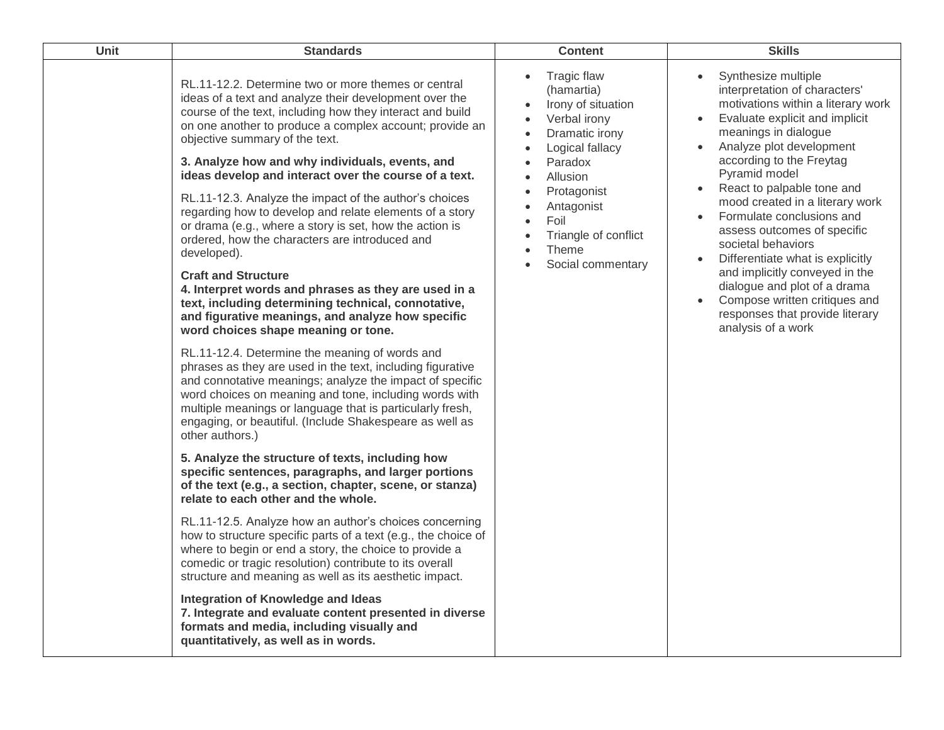| <b>Unit</b> | <b>Standards</b>                                                                                                                                                                                                                                                                                                                                                                                                                                                                                                                                                                                                                                                                                                                                                                                                                                                              | <b>Content</b>                                                                                                                                                                                                                                                                                                                                     | <b>Skills</b>                                                                                                                                                                                                                                                                                                                                                                                                                                                                                                                                                                    |
|-------------|-------------------------------------------------------------------------------------------------------------------------------------------------------------------------------------------------------------------------------------------------------------------------------------------------------------------------------------------------------------------------------------------------------------------------------------------------------------------------------------------------------------------------------------------------------------------------------------------------------------------------------------------------------------------------------------------------------------------------------------------------------------------------------------------------------------------------------------------------------------------------------|----------------------------------------------------------------------------------------------------------------------------------------------------------------------------------------------------------------------------------------------------------------------------------------------------------------------------------------------------|----------------------------------------------------------------------------------------------------------------------------------------------------------------------------------------------------------------------------------------------------------------------------------------------------------------------------------------------------------------------------------------------------------------------------------------------------------------------------------------------------------------------------------------------------------------------------------|
|             | RL.11-12.2. Determine two or more themes or central<br>ideas of a text and analyze their development over the<br>course of the text, including how they interact and build<br>on one another to produce a complex account; provide an<br>objective summary of the text.<br>3. Analyze how and why individuals, events, and<br>ideas develop and interact over the course of a text.<br>RL.11-12.3. Analyze the impact of the author's choices<br>regarding how to develop and relate elements of a story<br>or drama (e.g., where a story is set, how the action is<br>ordered, how the characters are introduced and<br>developed).<br><b>Craft and Structure</b><br>4. Interpret words and phrases as they are used in a<br>text, including determining technical, connotative,<br>and figurative meanings, and analyze how specific<br>word choices shape meaning or tone. | <b>Tragic flaw</b><br>$\bullet$<br>(hamartia)<br>Irony of situation<br>Verbal irony<br>$\bullet$<br>Dramatic irony<br>$\bullet$<br>Logical fallacy<br>$\bullet$<br>Paradox<br>Allusion<br>$\bullet$<br>Protagonist<br>$\bullet$<br>Antagonist<br>Foil<br>$\bullet$<br>Triangle of conflict<br>$\bullet$<br>Theme<br>$\bullet$<br>Social commentary | Synthesize multiple<br>interpretation of characters'<br>motivations within a literary work<br>Evaluate explicit and implicit<br>meanings in dialogue<br>Analyze plot development<br>according to the Freytag<br>Pyramid model<br>React to palpable tone and<br>mood created in a literary work<br>Formulate conclusions and<br>assess outcomes of specific<br>societal behaviors<br>Differentiate what is explicitly<br>and implicitly conveyed in the<br>dialogue and plot of a drama<br>Compose written critiques and<br>responses that provide literary<br>analysis of a work |
|             | RL.11-12.4. Determine the meaning of words and<br>phrases as they are used in the text, including figurative<br>and connotative meanings; analyze the impact of specific<br>word choices on meaning and tone, including words with<br>multiple meanings or language that is particularly fresh,<br>engaging, or beautiful. (Include Shakespeare as well as<br>other authors.)                                                                                                                                                                                                                                                                                                                                                                                                                                                                                                 |                                                                                                                                                                                                                                                                                                                                                    |                                                                                                                                                                                                                                                                                                                                                                                                                                                                                                                                                                                  |
|             | 5. Analyze the structure of texts, including how<br>specific sentences, paragraphs, and larger portions<br>of the text (e.g., a section, chapter, scene, or stanza)<br>relate to each other and the whole.                                                                                                                                                                                                                                                                                                                                                                                                                                                                                                                                                                                                                                                                    |                                                                                                                                                                                                                                                                                                                                                    |                                                                                                                                                                                                                                                                                                                                                                                                                                                                                                                                                                                  |
|             | RL.11-12.5. Analyze how an author's choices concerning<br>how to structure specific parts of a text (e.g., the choice of<br>where to begin or end a story, the choice to provide a<br>comedic or tragic resolution) contribute to its overall<br>structure and meaning as well as its aesthetic impact.                                                                                                                                                                                                                                                                                                                                                                                                                                                                                                                                                                       |                                                                                                                                                                                                                                                                                                                                                    |                                                                                                                                                                                                                                                                                                                                                                                                                                                                                                                                                                                  |
|             | Integration of Knowledge and Ideas<br>7. Integrate and evaluate content presented in diverse<br>formats and media, including visually and<br>quantitatively, as well as in words.                                                                                                                                                                                                                                                                                                                                                                                                                                                                                                                                                                                                                                                                                             |                                                                                                                                                                                                                                                                                                                                                    |                                                                                                                                                                                                                                                                                                                                                                                                                                                                                                                                                                                  |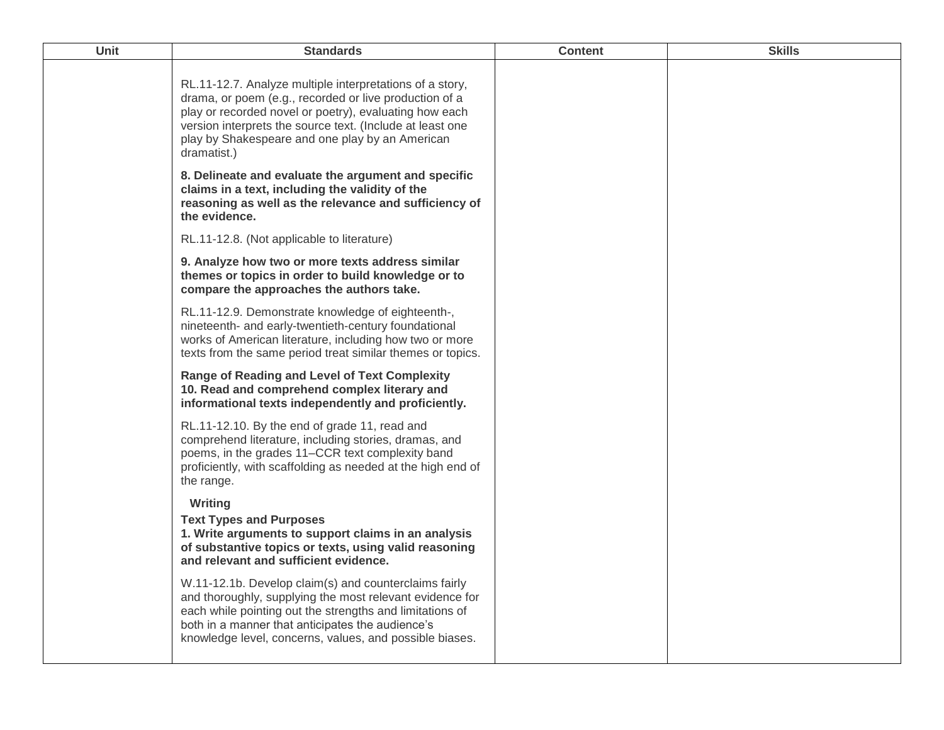| Unit | <b>Standards</b>                                                                                                                                                                                                                                                                                            | <b>Content</b> | <b>Skills</b> |
|------|-------------------------------------------------------------------------------------------------------------------------------------------------------------------------------------------------------------------------------------------------------------------------------------------------------------|----------------|---------------|
|      | RL.11-12.7. Analyze multiple interpretations of a story,<br>drama, or poem (e.g., recorded or live production of a<br>play or recorded novel or poetry), evaluating how each<br>version interprets the source text. (Include at least one<br>play by Shakespeare and one play by an American<br>dramatist.) |                |               |
|      | 8. Delineate and evaluate the argument and specific<br>claims in a text, including the validity of the<br>reasoning as well as the relevance and sufficiency of<br>the evidence.                                                                                                                            |                |               |
|      | RL.11-12.8. (Not applicable to literature)                                                                                                                                                                                                                                                                  |                |               |
|      | 9. Analyze how two or more texts address similar<br>themes or topics in order to build knowledge or to<br>compare the approaches the authors take.                                                                                                                                                          |                |               |
|      | RL.11-12.9. Demonstrate knowledge of eighteenth-,<br>nineteenth- and early-twentieth-century foundational<br>works of American literature, including how two or more<br>texts from the same period treat similar themes or topics.                                                                          |                |               |
|      | <b>Range of Reading and Level of Text Complexity</b><br>10. Read and comprehend complex literary and<br>informational texts independently and proficiently.                                                                                                                                                 |                |               |
|      | RL.11-12.10. By the end of grade 11, read and<br>comprehend literature, including stories, dramas, and<br>poems, in the grades 11–CCR text complexity band<br>proficiently, with scaffolding as needed at the high end of<br>the range.                                                                     |                |               |
|      | Writing<br><b>Text Types and Purposes</b><br>1. Write arguments to support claims in an analysis<br>of substantive topics or texts, using valid reasoning<br>and relevant and sufficient evidence.                                                                                                          |                |               |
|      | W.11-12.1b. Develop claim(s) and counterclaims fairly<br>and thoroughly, supplying the most relevant evidence for<br>each while pointing out the strengths and limitations of<br>both in a manner that anticipates the audience's<br>knowledge level, concerns, values, and possible biases.                |                |               |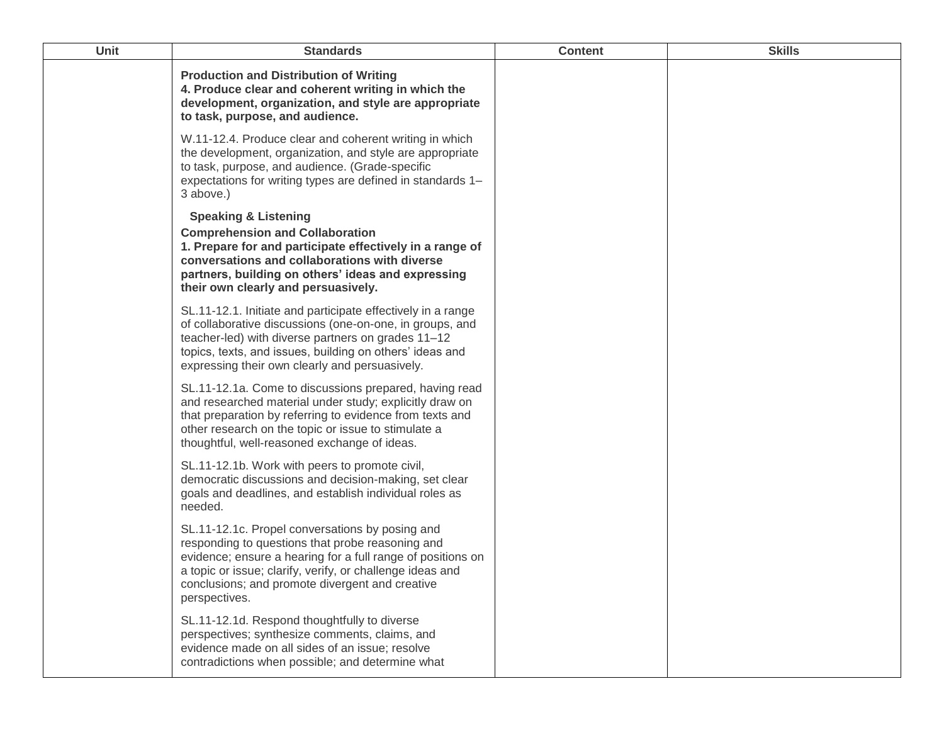| <b>Unit</b> | <b>Standards</b>                                                                                                                                                                                                                                                                                    | <b>Content</b> | <b>Skills</b> |
|-------------|-----------------------------------------------------------------------------------------------------------------------------------------------------------------------------------------------------------------------------------------------------------------------------------------------------|----------------|---------------|
|             | <b>Production and Distribution of Writing</b><br>4. Produce clear and coherent writing in which the<br>development, organization, and style are appropriate<br>to task, purpose, and audience.                                                                                                      |                |               |
|             | W.11-12.4. Produce clear and coherent writing in which<br>the development, organization, and style are appropriate<br>to task, purpose, and audience. (Grade-specific<br>expectations for writing types are defined in standards 1-<br>3 above.)                                                    |                |               |
|             | <b>Speaking &amp; Listening</b><br><b>Comprehension and Collaboration</b><br>1. Prepare for and participate effectively in a range of<br>conversations and collaborations with diverse<br>partners, building on others' ideas and expressing<br>their own clearly and persuasively.                 |                |               |
|             | SL.11-12.1. Initiate and participate effectively in a range<br>of collaborative discussions (one-on-one, in groups, and<br>teacher-led) with diverse partners on grades 11-12<br>topics, texts, and issues, building on others' ideas and<br>expressing their own clearly and persuasively.         |                |               |
|             | SL.11-12.1a. Come to discussions prepared, having read<br>and researched material under study; explicitly draw on<br>that preparation by referring to evidence from texts and<br>other research on the topic or issue to stimulate a<br>thoughtful, well-reasoned exchange of ideas.                |                |               |
|             | SL.11-12.1b. Work with peers to promote civil,<br>democratic discussions and decision-making, set clear<br>goals and deadlines, and establish individual roles as<br>needed.                                                                                                                        |                |               |
|             | SL.11-12.1c. Propel conversations by posing and<br>responding to questions that probe reasoning and<br>evidence; ensure a hearing for a full range of positions on<br>a topic or issue; clarify, verify, or challenge ideas and<br>conclusions; and promote divergent and creative<br>perspectives. |                |               |
|             | SL.11-12.1d. Respond thoughtfully to diverse<br>perspectives; synthesize comments, claims, and<br>evidence made on all sides of an issue; resolve<br>contradictions when possible; and determine what                                                                                               |                |               |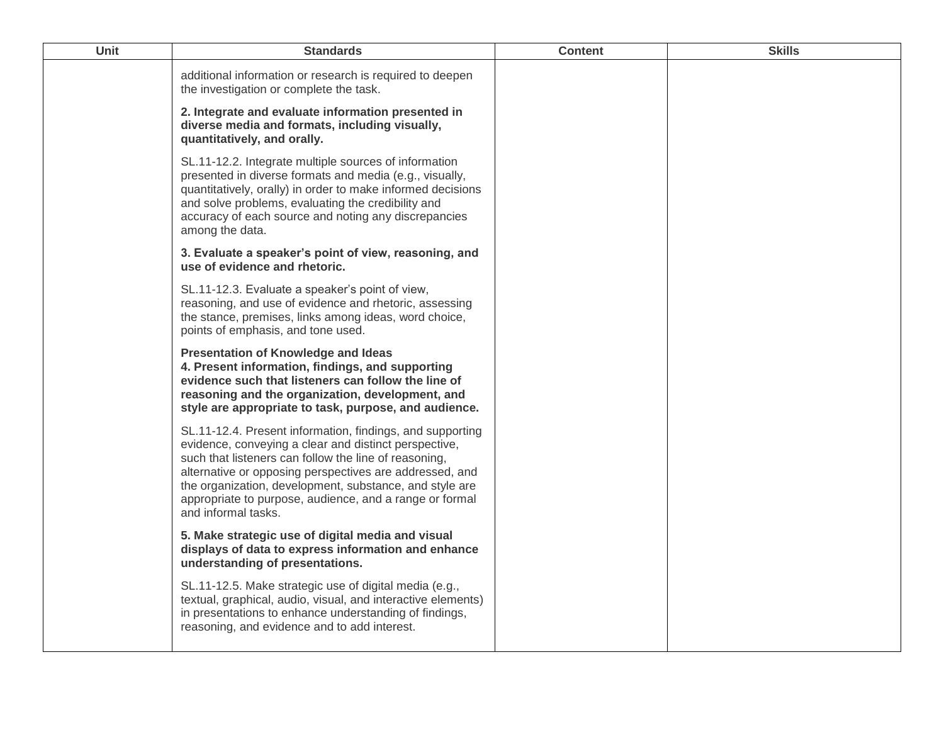| <b>Unit</b> | <b>Standards</b>                                                                                                                                                                                                                                                                                                                                                                    | <b>Content</b> | <b>Skills</b> |
|-------------|-------------------------------------------------------------------------------------------------------------------------------------------------------------------------------------------------------------------------------------------------------------------------------------------------------------------------------------------------------------------------------------|----------------|---------------|
|             | additional information or research is required to deepen<br>the investigation or complete the task.                                                                                                                                                                                                                                                                                 |                |               |
|             | 2. Integrate and evaluate information presented in<br>diverse media and formats, including visually,<br>quantitatively, and orally.                                                                                                                                                                                                                                                 |                |               |
|             | SL.11-12.2. Integrate multiple sources of information<br>presented in diverse formats and media (e.g., visually,<br>quantitatively, orally) in order to make informed decisions<br>and solve problems, evaluating the credibility and<br>accuracy of each source and noting any discrepancies<br>among the data.                                                                    |                |               |
|             | 3. Evaluate a speaker's point of view, reasoning, and<br>use of evidence and rhetoric.                                                                                                                                                                                                                                                                                              |                |               |
|             | SL.11-12.3. Evaluate a speaker's point of view,<br>reasoning, and use of evidence and rhetoric, assessing<br>the stance, premises, links among ideas, word choice,<br>points of emphasis, and tone used.                                                                                                                                                                            |                |               |
|             | <b>Presentation of Knowledge and Ideas</b><br>4. Present information, findings, and supporting<br>evidence such that listeners can follow the line of<br>reasoning and the organization, development, and<br>style are appropriate to task, purpose, and audience.                                                                                                                  |                |               |
|             | SL.11-12.4. Present information, findings, and supporting<br>evidence, conveying a clear and distinct perspective,<br>such that listeners can follow the line of reasoning,<br>alternative or opposing perspectives are addressed, and<br>the organization, development, substance, and style are<br>appropriate to purpose, audience, and a range or formal<br>and informal tasks. |                |               |
|             | 5. Make strategic use of digital media and visual<br>displays of data to express information and enhance<br>understanding of presentations.                                                                                                                                                                                                                                         |                |               |
|             | SL.11-12.5. Make strategic use of digital media (e.g.,<br>textual, graphical, audio, visual, and interactive elements)<br>in presentations to enhance understanding of findings,<br>reasoning, and evidence and to add interest.                                                                                                                                                    |                |               |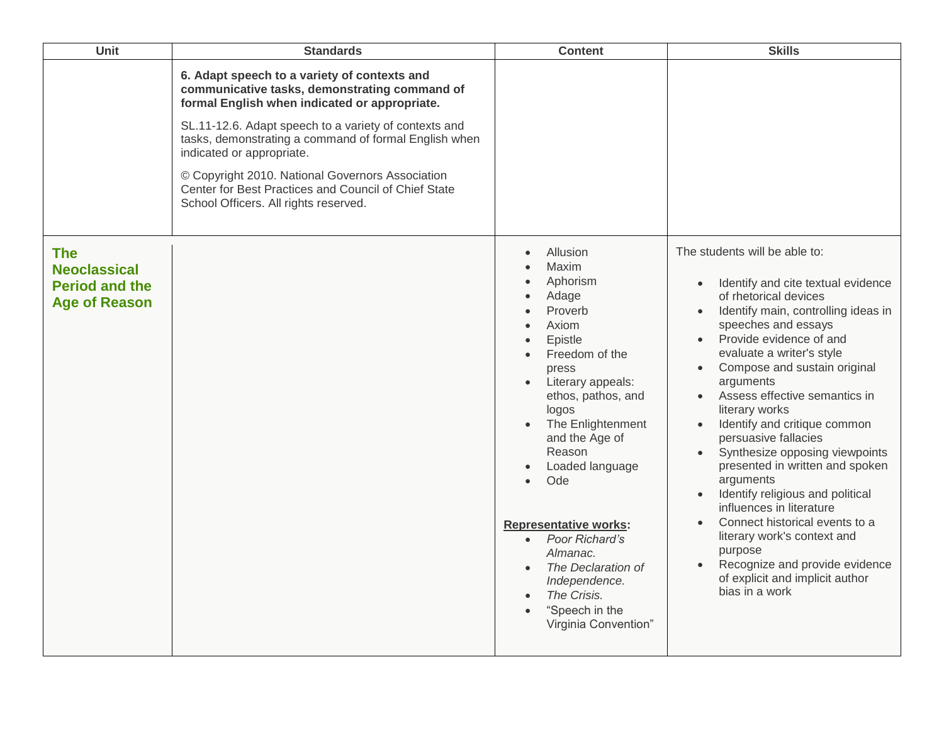| Unit                                                                               | <b>Standards</b>                                                                                                                                                                                                                                                                                                                                                                                                                                   | <b>Content</b>                                                                                                                                                                                                                                                                                                                                                                                                            | <b>Skills</b>                                                                                                                                                                                                                                                                                                                                                                                                                                                                                                                                                                                                                                                                                                |
|------------------------------------------------------------------------------------|----------------------------------------------------------------------------------------------------------------------------------------------------------------------------------------------------------------------------------------------------------------------------------------------------------------------------------------------------------------------------------------------------------------------------------------------------|---------------------------------------------------------------------------------------------------------------------------------------------------------------------------------------------------------------------------------------------------------------------------------------------------------------------------------------------------------------------------------------------------------------------------|--------------------------------------------------------------------------------------------------------------------------------------------------------------------------------------------------------------------------------------------------------------------------------------------------------------------------------------------------------------------------------------------------------------------------------------------------------------------------------------------------------------------------------------------------------------------------------------------------------------------------------------------------------------------------------------------------------------|
|                                                                                    | 6. Adapt speech to a variety of contexts and<br>communicative tasks, demonstrating command of<br>formal English when indicated or appropriate.<br>SL.11-12.6. Adapt speech to a variety of contexts and<br>tasks, demonstrating a command of formal English when<br>indicated or appropriate.<br>© Copyright 2010. National Governors Association<br>Center for Best Practices and Council of Chief State<br>School Officers. All rights reserved. |                                                                                                                                                                                                                                                                                                                                                                                                                           |                                                                                                                                                                                                                                                                                                                                                                                                                                                                                                                                                                                                                                                                                                              |
| <b>The</b><br><b>Neoclassical</b><br><b>Period and the</b><br><b>Age of Reason</b> |                                                                                                                                                                                                                                                                                                                                                                                                                                                    | Allusion<br>Maxim<br>Aphorism<br>Adage<br>Proverb<br>Axiom<br>Epistle<br>Freedom of the<br>press<br>Literary appeals:<br>ethos, pathos, and<br>logos<br>The Enlightenment<br>and the Age of<br>Reason<br>Loaded language<br>Ode<br>$\bullet$<br><b>Representative works:</b><br>• Poor Richard's<br>Almanac.<br>The Declaration of<br>Independence.<br>The Crisis.<br>"Speech in the<br>$\bullet$<br>Virginia Convention" | The students will be able to:<br>Identify and cite textual evidence<br>$\bullet$<br>of rhetorical devices<br>Identify main, controlling ideas in<br>speeches and essays<br>Provide evidence of and<br>evaluate a writer's style<br>Compose and sustain original<br>arguments<br>Assess effective semantics in<br>literary works<br>Identify and critique common<br>persuasive fallacies<br>Synthesize opposing viewpoints<br>presented in written and spoken<br>arguments<br>Identify religious and political<br>influences in literature<br>Connect historical events to a<br>literary work's context and<br>purpose<br>Recognize and provide evidence<br>of explicit and implicit author<br>bias in a work |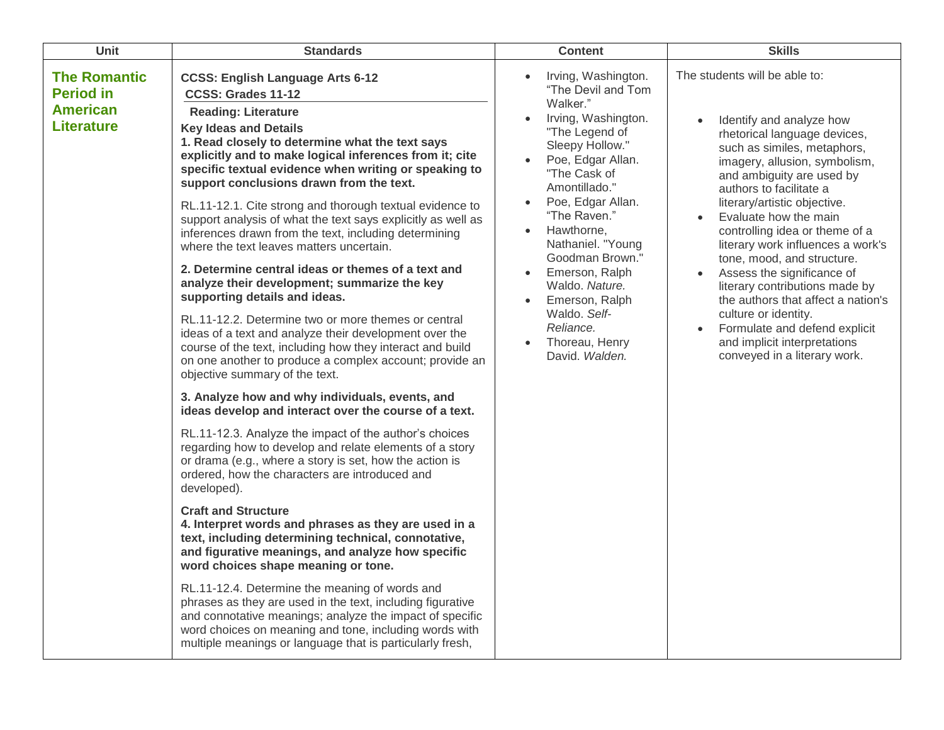| Unit                                                                            | <b>Standards</b>                                                                                                                                                                                                                                                                                                                                                                                                                                                                                                                                                                                                                                                                                                                                                                                                                                                                                                                                                                                                                                                                                                                                                                                                                                                                                                                                                                                                                                                                                                                                                                                                                                                                                                                                                                                                                                                                                           | <b>Content</b>                                                                                                                                                                                                                                                                                                                                                                                                                   | <b>Skills</b>                                                                                                                                                                                                                                                                                                                                                                                                                                                                                                                                                                                                  |
|---------------------------------------------------------------------------------|------------------------------------------------------------------------------------------------------------------------------------------------------------------------------------------------------------------------------------------------------------------------------------------------------------------------------------------------------------------------------------------------------------------------------------------------------------------------------------------------------------------------------------------------------------------------------------------------------------------------------------------------------------------------------------------------------------------------------------------------------------------------------------------------------------------------------------------------------------------------------------------------------------------------------------------------------------------------------------------------------------------------------------------------------------------------------------------------------------------------------------------------------------------------------------------------------------------------------------------------------------------------------------------------------------------------------------------------------------------------------------------------------------------------------------------------------------------------------------------------------------------------------------------------------------------------------------------------------------------------------------------------------------------------------------------------------------------------------------------------------------------------------------------------------------------------------------------------------------------------------------------------------------|----------------------------------------------------------------------------------------------------------------------------------------------------------------------------------------------------------------------------------------------------------------------------------------------------------------------------------------------------------------------------------------------------------------------------------|----------------------------------------------------------------------------------------------------------------------------------------------------------------------------------------------------------------------------------------------------------------------------------------------------------------------------------------------------------------------------------------------------------------------------------------------------------------------------------------------------------------------------------------------------------------------------------------------------------------|
| <b>The Romantic</b><br><b>Period in</b><br><b>American</b><br><b>Literature</b> | <b>CCSS: English Language Arts 6-12</b><br>CCSS: Grades 11-12<br><b>Reading: Literature</b><br><b>Key Ideas and Details</b><br>1. Read closely to determine what the text says<br>explicitly and to make logical inferences from it; cite<br>specific textual evidence when writing or speaking to<br>support conclusions drawn from the text.<br>RL.11-12.1. Cite strong and thorough textual evidence to<br>support analysis of what the text says explicitly as well as<br>inferences drawn from the text, including determining<br>where the text leaves matters uncertain.<br>2. Determine central ideas or themes of a text and<br>analyze their development; summarize the key<br>supporting details and ideas.<br>RL.11-12.2. Determine two or more themes or central<br>ideas of a text and analyze their development over the<br>course of the text, including how they interact and build<br>on one another to produce a complex account; provide an<br>objective summary of the text.<br>3. Analyze how and why individuals, events, and<br>ideas develop and interact over the course of a text.<br>RL.11-12.3. Analyze the impact of the author's choices<br>regarding how to develop and relate elements of a story<br>or drama (e.g., where a story is set, how the action is<br>ordered, how the characters are introduced and<br>developed).<br><b>Craft and Structure</b><br>4. Interpret words and phrases as they are used in a<br>text, including determining technical, connotative,<br>and figurative meanings, and analyze how specific<br>word choices shape meaning or tone.<br>RL.11-12.4. Determine the meaning of words and<br>phrases as they are used in the text, including figurative<br>and connotative meanings; analyze the impact of specific<br>word choices on meaning and tone, including words with<br>multiple meanings or language that is particularly fresh, | Irving, Washington.<br>$\bullet$<br>"The Devil and Tom<br>Walker."<br>Irving, Washington.<br>"The Legend of<br>Sleepy Hollow."<br>Poe, Edgar Allan.<br>"The Cask of<br>Amontillado."<br>Poe, Edgar Allan.<br>"The Raven."<br>Hawthorne,<br>Nathaniel. "Young<br>Goodman Brown."<br>Emerson, Ralph<br>$\bullet$<br>Waldo. Nature.<br>Emerson, Ralph<br>$\bullet$<br>Waldo. Self-<br>Reliance.<br>Thoreau, Henry<br>David. Walden. | The students will be able to:<br>Identify and analyze how<br>rhetorical language devices,<br>such as similes, metaphors,<br>imagery, allusion, symbolism,<br>and ambiguity are used by<br>authors to facilitate a<br>literary/artistic objective.<br>Evaluate how the main<br>controlling idea or theme of a<br>literary work influences a work's<br>tone, mood, and structure.<br>Assess the significance of<br>literary contributions made by<br>the authors that affect a nation's<br>culture or identity.<br>Formulate and defend explicit<br>and implicit interpretations<br>conveyed in a literary work. |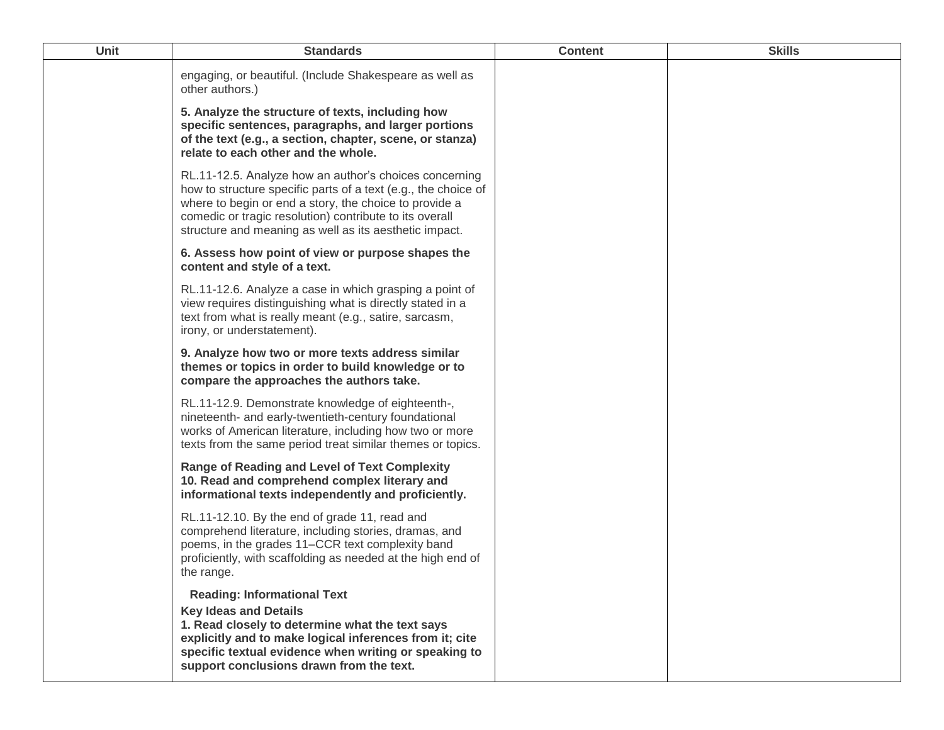| engaging, or beautiful. (Include Shakespeare as well as<br>other authors.)<br>5. Analyze the structure of texts, including how<br>specific sentences, paragraphs, and larger portions<br>of the text (e.g., a section, chapter, scene, or stanza)<br>relate to each other and the whole.<br>RL.11-12.5. Analyze how an author's choices concerning<br>how to structure specific parts of a text (e.g., the choice of<br>where to begin or end a story, the choice to provide a<br>comedic or tragic resolution) contribute to its overall<br>structure and meaning as well as its aesthetic impact.<br>6. Assess how point of view or purpose shapes the<br>content and style of a text.<br>RL.11-12.6. Analyze a case in which grasping a point of<br>view requires distinguishing what is directly stated in a<br>text from what is really meant (e.g., satire, sarcasm,<br>irony, or understatement).<br>9. Analyze how two or more texts address similar<br>themes or topics in order to build knowledge or to<br>compare the approaches the authors take.<br>RL.11-12.9. Demonstrate knowledge of eighteenth-,<br>nineteenth- and early-twentieth-century foundational<br>works of American literature, including how two or more<br>texts from the same period treat similar themes or topics.<br><b>Range of Reading and Level of Text Complexity</b><br>10. Read and comprehend complex literary and<br>informational texts independently and proficiently.<br>RL.11-12.10. By the end of grade 11, read and<br>comprehend literature, including stories, dramas, and<br>poems, in the grades 11–CCR text complexity band<br>proficiently, with scaffolding as needed at the high end of<br>the range.<br><b>Reading: Informational Text</b><br><b>Key Ideas and Details</b><br>1. Read closely to determine what the text says<br>explicitly and to make logical inferences from it; cite<br>specific textual evidence when writing or speaking to | Unit | <b>Standards</b>                         | <b>Content</b> | <b>Skills</b> |
|-------------------------------------------------------------------------------------------------------------------------------------------------------------------------------------------------------------------------------------------------------------------------------------------------------------------------------------------------------------------------------------------------------------------------------------------------------------------------------------------------------------------------------------------------------------------------------------------------------------------------------------------------------------------------------------------------------------------------------------------------------------------------------------------------------------------------------------------------------------------------------------------------------------------------------------------------------------------------------------------------------------------------------------------------------------------------------------------------------------------------------------------------------------------------------------------------------------------------------------------------------------------------------------------------------------------------------------------------------------------------------------------------------------------------------------------------------------------------------------------------------------------------------------------------------------------------------------------------------------------------------------------------------------------------------------------------------------------------------------------------------------------------------------------------------------------------------------------------------------------------------------------------------------------------------------------------------------|------|------------------------------------------|----------------|---------------|
|                                                                                                                                                                                                                                                                                                                                                                                                                                                                                                                                                                                                                                                                                                                                                                                                                                                                                                                                                                                                                                                                                                                                                                                                                                                                                                                                                                                                                                                                                                                                                                                                                                                                                                                                                                                                                                                                                                                                                             |      |                                          |                |               |
|                                                                                                                                                                                                                                                                                                                                                                                                                                                                                                                                                                                                                                                                                                                                                                                                                                                                                                                                                                                                                                                                                                                                                                                                                                                                                                                                                                                                                                                                                                                                                                                                                                                                                                                                                                                                                                                                                                                                                             |      |                                          |                |               |
|                                                                                                                                                                                                                                                                                                                                                                                                                                                                                                                                                                                                                                                                                                                                                                                                                                                                                                                                                                                                                                                                                                                                                                                                                                                                                                                                                                                                                                                                                                                                                                                                                                                                                                                                                                                                                                                                                                                                                             |      |                                          |                |               |
|                                                                                                                                                                                                                                                                                                                                                                                                                                                                                                                                                                                                                                                                                                                                                                                                                                                                                                                                                                                                                                                                                                                                                                                                                                                                                                                                                                                                                                                                                                                                                                                                                                                                                                                                                                                                                                                                                                                                                             |      |                                          |                |               |
|                                                                                                                                                                                                                                                                                                                                                                                                                                                                                                                                                                                                                                                                                                                                                                                                                                                                                                                                                                                                                                                                                                                                                                                                                                                                                                                                                                                                                                                                                                                                                                                                                                                                                                                                                                                                                                                                                                                                                             |      |                                          |                |               |
|                                                                                                                                                                                                                                                                                                                                                                                                                                                                                                                                                                                                                                                                                                                                                                                                                                                                                                                                                                                                                                                                                                                                                                                                                                                                                                                                                                                                                                                                                                                                                                                                                                                                                                                                                                                                                                                                                                                                                             |      |                                          |                |               |
|                                                                                                                                                                                                                                                                                                                                                                                                                                                                                                                                                                                                                                                                                                                                                                                                                                                                                                                                                                                                                                                                                                                                                                                                                                                                                                                                                                                                                                                                                                                                                                                                                                                                                                                                                                                                                                                                                                                                                             |      |                                          |                |               |
|                                                                                                                                                                                                                                                                                                                                                                                                                                                                                                                                                                                                                                                                                                                                                                                                                                                                                                                                                                                                                                                                                                                                                                                                                                                                                                                                                                                                                                                                                                                                                                                                                                                                                                                                                                                                                                                                                                                                                             |      |                                          |                |               |
|                                                                                                                                                                                                                                                                                                                                                                                                                                                                                                                                                                                                                                                                                                                                                                                                                                                                                                                                                                                                                                                                                                                                                                                                                                                                                                                                                                                                                                                                                                                                                                                                                                                                                                                                                                                                                                                                                                                                                             |      |                                          |                |               |
|                                                                                                                                                                                                                                                                                                                                                                                                                                                                                                                                                                                                                                                                                                                                                                                                                                                                                                                                                                                                                                                                                                                                                                                                                                                                                                                                                                                                                                                                                                                                                                                                                                                                                                                                                                                                                                                                                                                                                             |      |                                          |                |               |
|                                                                                                                                                                                                                                                                                                                                                                                                                                                                                                                                                                                                                                                                                                                                                                                                                                                                                                                                                                                                                                                                                                                                                                                                                                                                                                                                                                                                                                                                                                                                                                                                                                                                                                                                                                                                                                                                                                                                                             |      | support conclusions drawn from the text. |                |               |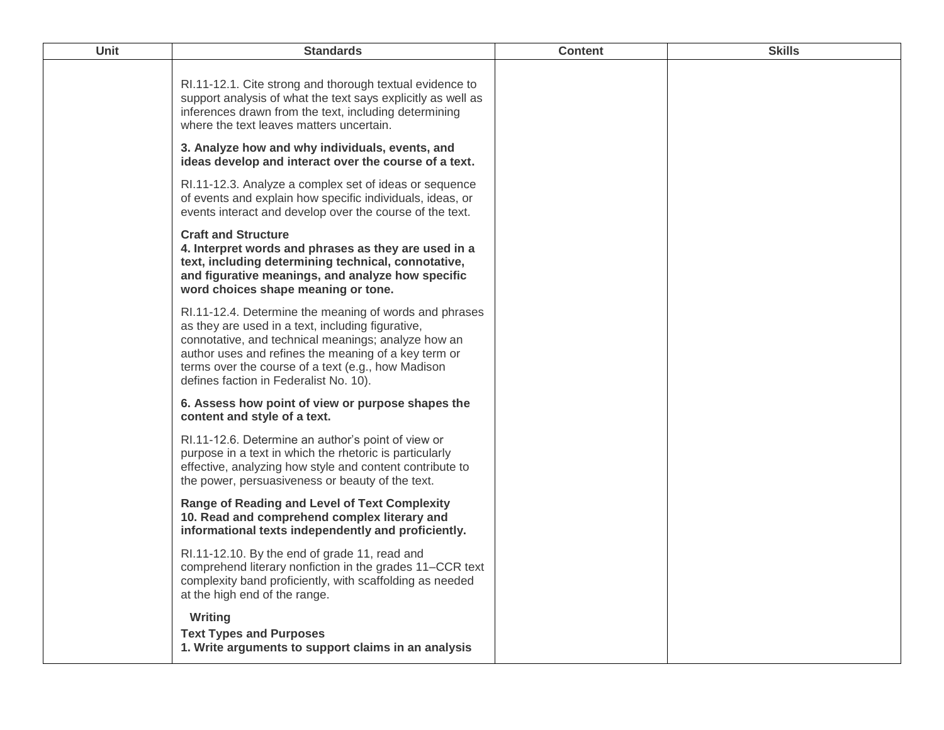| <b>Unit</b> | <b>Standards</b>                                                                                                                                                                                                                                                                                                           | <b>Content</b> | <b>Skills</b> |
|-------------|----------------------------------------------------------------------------------------------------------------------------------------------------------------------------------------------------------------------------------------------------------------------------------------------------------------------------|----------------|---------------|
|             | RI.11-12.1. Cite strong and thorough textual evidence to<br>support analysis of what the text says explicitly as well as<br>inferences drawn from the text, including determining<br>where the text leaves matters uncertain.                                                                                              |                |               |
|             | 3. Analyze how and why individuals, events, and<br>ideas develop and interact over the course of a text.                                                                                                                                                                                                                   |                |               |
|             | RI.11-12.3. Analyze a complex set of ideas or sequence<br>of events and explain how specific individuals, ideas, or<br>events interact and develop over the course of the text.                                                                                                                                            |                |               |
|             | <b>Craft and Structure</b><br>4. Interpret words and phrases as they are used in a<br>text, including determining technical, connotative,<br>and figurative meanings, and analyze how specific<br>word choices shape meaning or tone.                                                                                      |                |               |
|             | RI.11-12.4. Determine the meaning of words and phrases<br>as they are used in a text, including figurative,<br>connotative, and technical meanings; analyze how an<br>author uses and refines the meaning of a key term or<br>terms over the course of a text (e.g., how Madison<br>defines faction in Federalist No. 10). |                |               |
|             | 6. Assess how point of view or purpose shapes the<br>content and style of a text.                                                                                                                                                                                                                                          |                |               |
|             | RI.11-12.6. Determine an author's point of view or<br>purpose in a text in which the rhetoric is particularly<br>effective, analyzing how style and content contribute to<br>the power, persuasiveness or beauty of the text.                                                                                              |                |               |
|             | <b>Range of Reading and Level of Text Complexity</b><br>10. Read and comprehend complex literary and<br>informational texts independently and proficiently.                                                                                                                                                                |                |               |
|             | RI.11-12.10. By the end of grade 11, read and<br>comprehend literary nonfiction in the grades 11–CCR text<br>complexity band proficiently, with scaffolding as needed<br>at the high end of the range.                                                                                                                     |                |               |
|             | Writing<br><b>Text Types and Purposes</b><br>1. Write arguments to support claims in an analysis                                                                                                                                                                                                                           |                |               |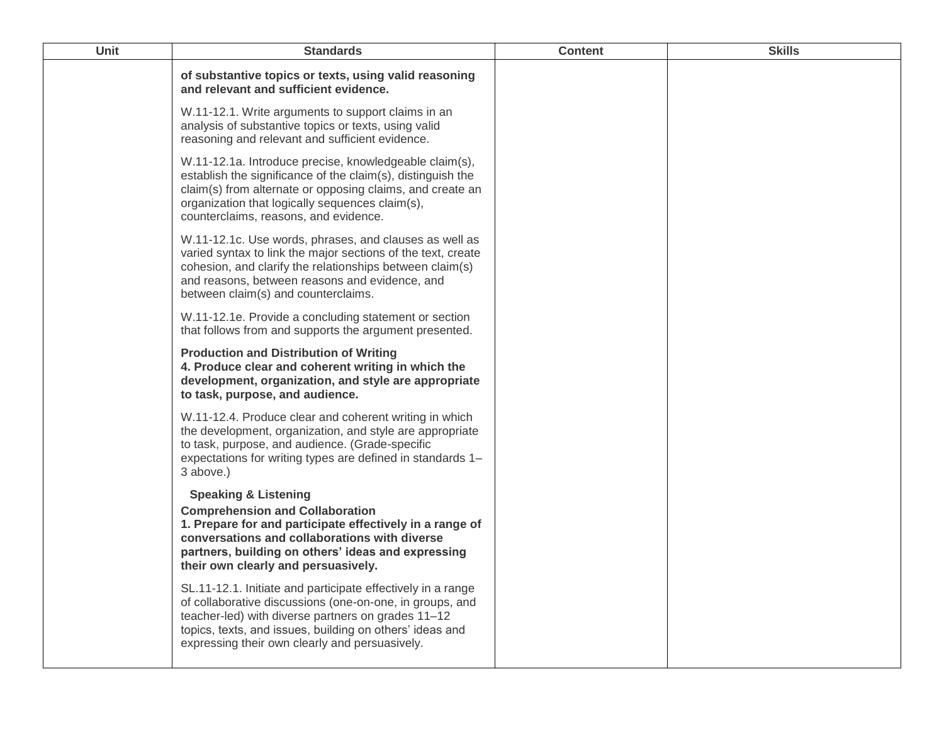| <b>Unit</b> | <b>Standards</b>                                                                                                                                                                                                                                                                            | <b>Content</b> | <b>Skills</b> |
|-------------|---------------------------------------------------------------------------------------------------------------------------------------------------------------------------------------------------------------------------------------------------------------------------------------------|----------------|---------------|
|             | of substantive topics or texts, using valid reasoning<br>and relevant and sufficient evidence.                                                                                                                                                                                              |                |               |
|             | W.11-12.1. Write arguments to support claims in an<br>analysis of substantive topics or texts, using valid<br>reasoning and relevant and sufficient evidence.                                                                                                                               |                |               |
|             | W.11-12.1a. Introduce precise, knowledgeable claim(s),<br>establish the significance of the claim(s), distinguish the<br>claim(s) from alternate or opposing claims, and create an<br>organization that logically sequences claim(s),<br>counterclaims, reasons, and evidence.              |                |               |
|             | W.11-12.1c. Use words, phrases, and clauses as well as<br>varied syntax to link the major sections of the text, create<br>cohesion, and clarify the relationships between claim(s)<br>and reasons, between reasons and evidence, and<br>between claim(s) and counterclaims.                 |                |               |
|             | W.11-12.1e. Provide a concluding statement or section<br>that follows from and supports the argument presented.                                                                                                                                                                             |                |               |
|             | <b>Production and Distribution of Writing</b><br>4. Produce clear and coherent writing in which the<br>development, organization, and style are appropriate<br>to task, purpose, and audience.                                                                                              |                |               |
|             | W.11-12.4. Produce clear and coherent writing in which<br>the development, organization, and style are appropriate<br>to task, purpose, and audience. (Grade-specific<br>expectations for writing types are defined in standards 1-<br>3 above.)                                            |                |               |
|             | <b>Speaking &amp; Listening</b><br><b>Comprehension and Collaboration</b><br>1. Prepare for and participate effectively in a range of<br>conversations and collaborations with diverse<br>partners, building on others' ideas and expressing<br>their own clearly and persuasively.         |                |               |
|             | SL.11-12.1. Initiate and participate effectively in a range<br>of collaborative discussions (one-on-one, in groups, and<br>teacher-led) with diverse partners on grades 11-12<br>topics, texts, and issues, building on others' ideas and<br>expressing their own clearly and persuasively. |                |               |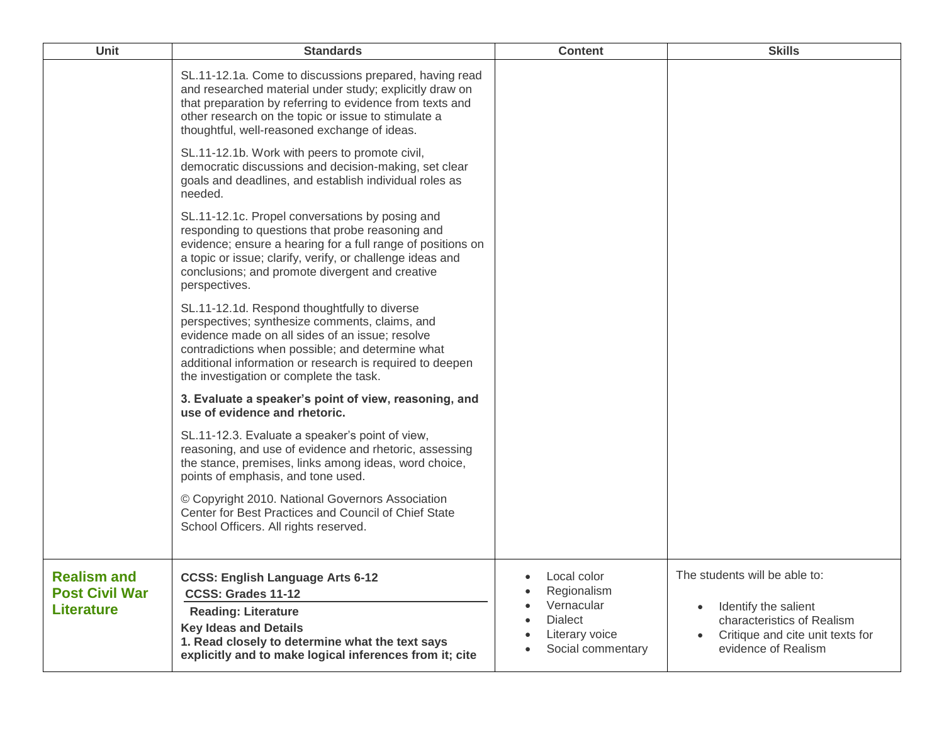| <b>Unit</b>                                                      | <b>Standards</b>                                                                                                                                                                                                                                                                                             | <b>Content</b>                                                                                      | <b>Skills</b>                                                                                                                                  |
|------------------------------------------------------------------|--------------------------------------------------------------------------------------------------------------------------------------------------------------------------------------------------------------------------------------------------------------------------------------------------------------|-----------------------------------------------------------------------------------------------------|------------------------------------------------------------------------------------------------------------------------------------------------|
|                                                                  | SL.11-12.1a. Come to discussions prepared, having read<br>and researched material under study; explicitly draw on<br>that preparation by referring to evidence from texts and<br>other research on the topic or issue to stimulate a<br>thoughtful, well-reasoned exchange of ideas.                         |                                                                                                     |                                                                                                                                                |
|                                                                  | SL.11-12.1b. Work with peers to promote civil,<br>democratic discussions and decision-making, set clear<br>goals and deadlines, and establish individual roles as<br>needed.                                                                                                                                 |                                                                                                     |                                                                                                                                                |
|                                                                  | SL.11-12.1c. Propel conversations by posing and<br>responding to questions that probe reasoning and<br>evidence; ensure a hearing for a full range of positions on<br>a topic or issue; clarify, verify, or challenge ideas and<br>conclusions; and promote divergent and creative<br>perspectives.          |                                                                                                     |                                                                                                                                                |
|                                                                  | SL.11-12.1d. Respond thoughtfully to diverse<br>perspectives; synthesize comments, claims, and<br>evidence made on all sides of an issue; resolve<br>contradictions when possible; and determine what<br>additional information or research is required to deepen<br>the investigation or complete the task. |                                                                                                     |                                                                                                                                                |
|                                                                  | 3. Evaluate a speaker's point of view, reasoning, and<br>use of evidence and rhetoric.                                                                                                                                                                                                                       |                                                                                                     |                                                                                                                                                |
|                                                                  | SL.11-12.3. Evaluate a speaker's point of view,<br>reasoning, and use of evidence and rhetoric, assessing<br>the stance, premises, links among ideas, word choice,<br>points of emphasis, and tone used.                                                                                                     |                                                                                                     |                                                                                                                                                |
|                                                                  | © Copyright 2010. National Governors Association<br>Center for Best Practices and Council of Chief State<br>School Officers. All rights reserved.                                                                                                                                                            |                                                                                                     |                                                                                                                                                |
| <b>Realism and</b><br><b>Post Civil War</b><br><b>Literature</b> | <b>CCSS: English Language Arts 6-12</b><br>CCSS: Grades 11-12<br><b>Reading: Literature</b><br><b>Key Ideas and Details</b><br>1. Read closely to determine what the text says<br>explicitly and to make logical inferences from it; cite                                                                    | • Local color<br>Regionalism<br>Vernacular<br><b>Dialect</b><br>Literary voice<br>Social commentary | The students will be able to:<br>Identify the salient<br>characteristics of Realism<br>Critique and cite unit texts for<br>evidence of Realism |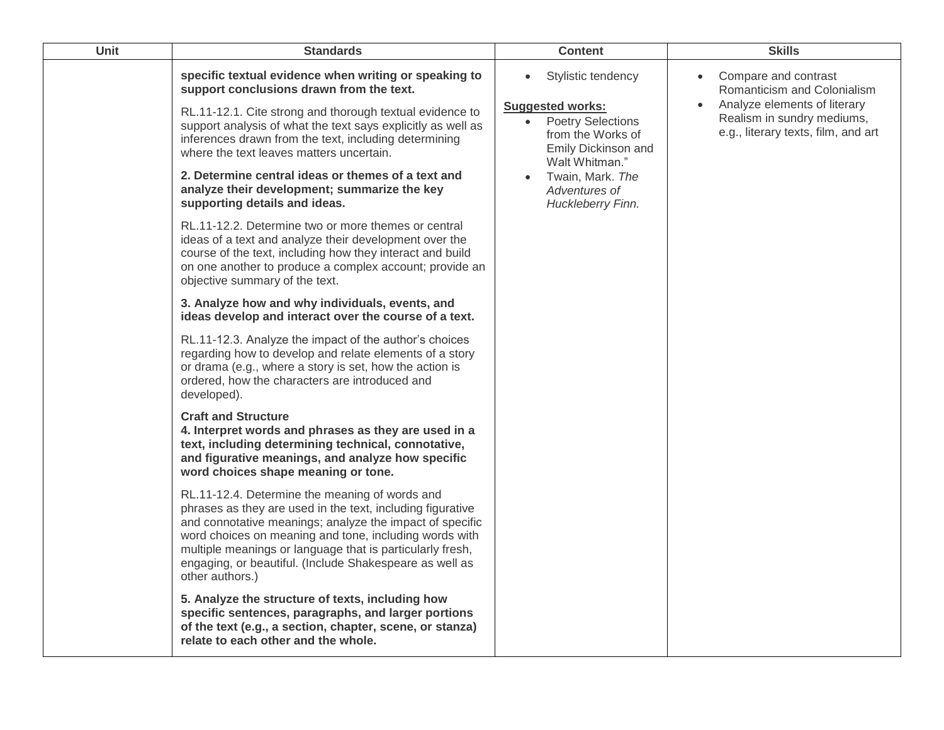| <b>Unit</b> | <b>Standards</b>                                                                                                                                                                                                                                                                                                                                                              | <b>Content</b>                                                                                      | <b>Skills</b>                                                                       |
|-------------|-------------------------------------------------------------------------------------------------------------------------------------------------------------------------------------------------------------------------------------------------------------------------------------------------------------------------------------------------------------------------------|-----------------------------------------------------------------------------------------------------|-------------------------------------------------------------------------------------|
|             | specific textual evidence when writing or speaking to<br>support conclusions drawn from the text.                                                                                                                                                                                                                                                                             | Stylistic tendency<br><b>Suggested works:</b>                                                       | Compare and contrast<br>Romanticism and Colonialism<br>Analyze elements of literary |
|             | RL.11-12.1. Cite strong and thorough textual evidence to<br>support analysis of what the text says explicitly as well as<br>inferences drawn from the text, including determining<br>where the text leaves matters uncertain.                                                                                                                                                 | <b>Poetry Selections</b><br>$\bullet$<br>from the Works of<br>Emily Dickinson and<br>Walt Whitman." | Realism in sundry mediums,<br>e.g., literary texts, film, and art                   |
|             | 2. Determine central ideas or themes of a text and<br>analyze their development; summarize the key<br>supporting details and ideas.                                                                                                                                                                                                                                           | Twain, Mark. The<br>Adventures of<br>Huckleberry Finn.                                              |                                                                                     |
|             | RL.11-12.2. Determine two or more themes or central<br>ideas of a text and analyze their development over the<br>course of the text, including how they interact and build<br>on one another to produce a complex account; provide an<br>objective summary of the text.                                                                                                       |                                                                                                     |                                                                                     |
|             | 3. Analyze how and why individuals, events, and<br>ideas develop and interact over the course of a text.                                                                                                                                                                                                                                                                      |                                                                                                     |                                                                                     |
|             | RL.11-12.3. Analyze the impact of the author's choices<br>regarding how to develop and relate elements of a story<br>or drama (e.g., where a story is set, how the action is<br>ordered, how the characters are introduced and<br>developed).                                                                                                                                 |                                                                                                     |                                                                                     |
|             | <b>Craft and Structure</b><br>4. Interpret words and phrases as they are used in a<br>text, including determining technical, connotative,<br>and figurative meanings, and analyze how specific<br>word choices shape meaning or tone.                                                                                                                                         |                                                                                                     |                                                                                     |
|             | RL.11-12.4. Determine the meaning of words and<br>phrases as they are used in the text, including figurative<br>and connotative meanings; analyze the impact of specific<br>word choices on meaning and tone, including words with<br>multiple meanings or language that is particularly fresh,<br>engaging, or beautiful. (Include Shakespeare as well as<br>other authors.) |                                                                                                     |                                                                                     |
|             | 5. Analyze the structure of texts, including how<br>specific sentences, paragraphs, and larger portions<br>of the text (e.g., a section, chapter, scene, or stanza)<br>relate to each other and the whole.                                                                                                                                                                    |                                                                                                     |                                                                                     |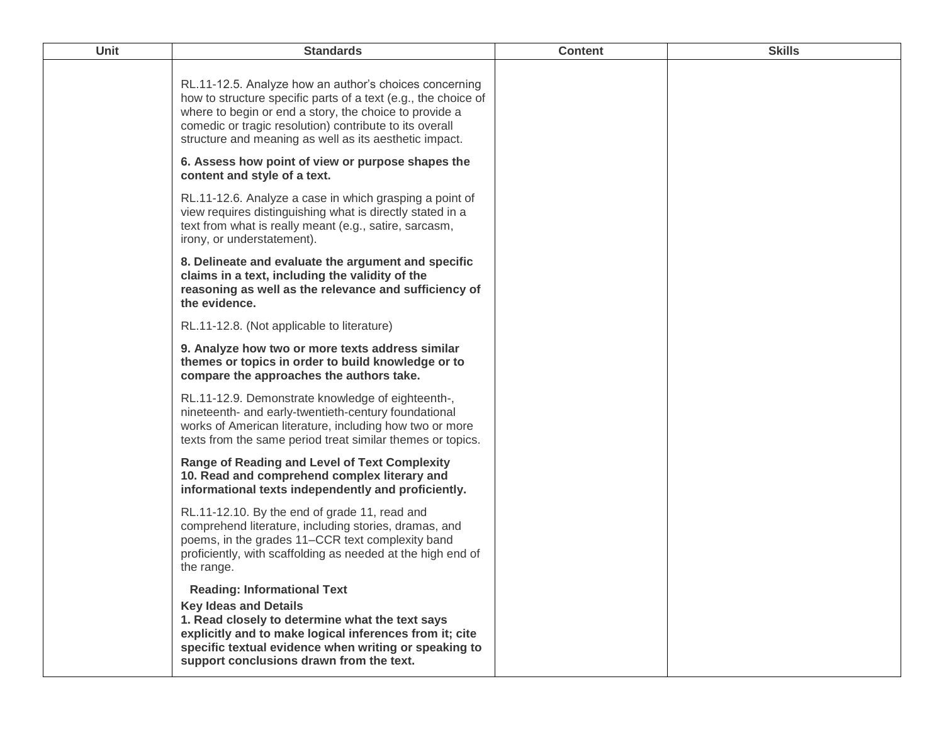| Unit | <b>Standards</b>                                                                                                                                                                                                                                                                                        | <b>Content</b> | <b>Skills</b> |
|------|---------------------------------------------------------------------------------------------------------------------------------------------------------------------------------------------------------------------------------------------------------------------------------------------------------|----------------|---------------|
|      | RL.11-12.5. Analyze how an author's choices concerning<br>how to structure specific parts of a text (e.g., the choice of<br>where to begin or end a story, the choice to provide a<br>comedic or tragic resolution) contribute to its overall<br>structure and meaning as well as its aesthetic impact. |                |               |
|      | 6. Assess how point of view or purpose shapes the<br>content and style of a text.                                                                                                                                                                                                                       |                |               |
|      | RL.11-12.6. Analyze a case in which grasping a point of<br>view requires distinguishing what is directly stated in a<br>text from what is really meant (e.g., satire, sarcasm,<br>irony, or understatement).                                                                                            |                |               |
|      | 8. Delineate and evaluate the argument and specific<br>claims in a text, including the validity of the<br>reasoning as well as the relevance and sufficiency of<br>the evidence.                                                                                                                        |                |               |
|      | RL.11-12.8. (Not applicable to literature)                                                                                                                                                                                                                                                              |                |               |
|      | 9. Analyze how two or more texts address similar<br>themes or topics in order to build knowledge or to<br>compare the approaches the authors take.                                                                                                                                                      |                |               |
|      | RL.11-12.9. Demonstrate knowledge of eighteenth-,<br>nineteenth- and early-twentieth-century foundational<br>works of American literature, including how two or more<br>texts from the same period treat similar themes or topics.                                                                      |                |               |
|      | <b>Range of Reading and Level of Text Complexity</b><br>10. Read and comprehend complex literary and<br>informational texts independently and proficiently.                                                                                                                                             |                |               |
|      | RL.11-12.10. By the end of grade 11, read and<br>comprehend literature, including stories, dramas, and<br>poems, in the grades 11–CCR text complexity band<br>proficiently, with scaffolding as needed at the high end of<br>the range.                                                                 |                |               |
|      | <b>Reading: Informational Text</b><br><b>Key Ideas and Details</b><br>1. Read closely to determine what the text says<br>explicitly and to make logical inferences from it; cite<br>specific textual evidence when writing or speaking to<br>support conclusions drawn from the text.                   |                |               |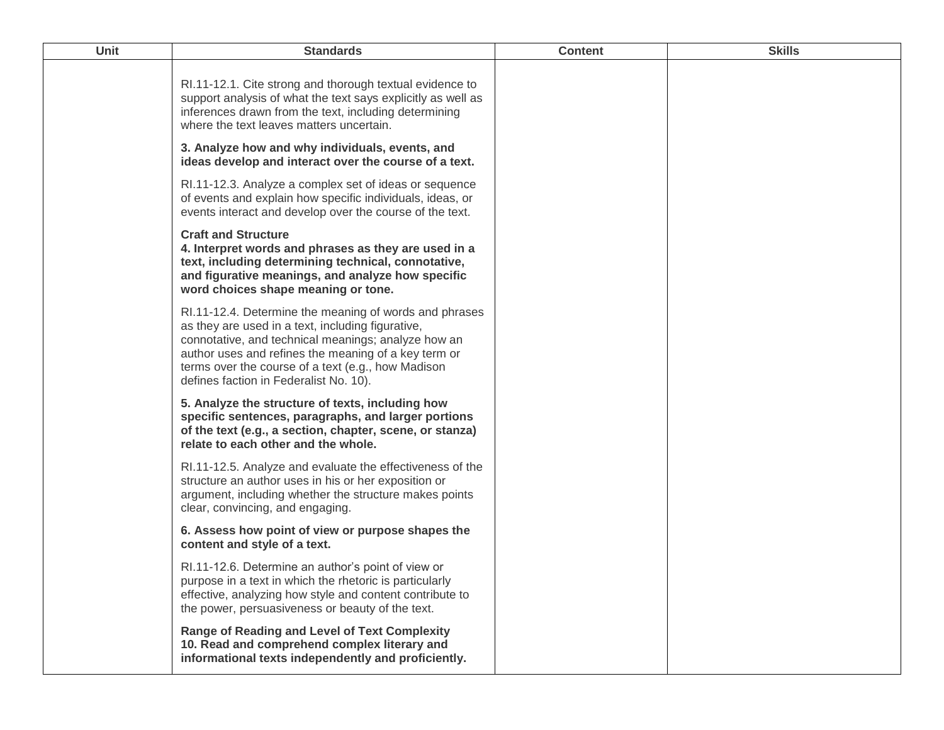| <b>Unit</b> | <b>Standards</b>                                                                                                                                                                                                                                                                                                           | <b>Content</b> | <b>Skills</b> |
|-------------|----------------------------------------------------------------------------------------------------------------------------------------------------------------------------------------------------------------------------------------------------------------------------------------------------------------------------|----------------|---------------|
|             | RI.11-12.1. Cite strong and thorough textual evidence to<br>support analysis of what the text says explicitly as well as<br>inferences drawn from the text, including determining<br>where the text leaves matters uncertain.                                                                                              |                |               |
|             | 3. Analyze how and why individuals, events, and<br>ideas develop and interact over the course of a text.                                                                                                                                                                                                                   |                |               |
|             | RI.11-12.3. Analyze a complex set of ideas or sequence<br>of events and explain how specific individuals, ideas, or<br>events interact and develop over the course of the text.                                                                                                                                            |                |               |
|             | <b>Craft and Structure</b><br>4. Interpret words and phrases as they are used in a<br>text, including determining technical, connotative,<br>and figurative meanings, and analyze how specific<br>word choices shape meaning or tone.                                                                                      |                |               |
|             | RI.11-12.4. Determine the meaning of words and phrases<br>as they are used in a text, including figurative,<br>connotative, and technical meanings; analyze how an<br>author uses and refines the meaning of a key term or<br>terms over the course of a text (e.g., how Madison<br>defines faction in Federalist No. 10). |                |               |
|             | 5. Analyze the structure of texts, including how<br>specific sentences, paragraphs, and larger portions<br>of the text (e.g., a section, chapter, scene, or stanza)<br>relate to each other and the whole.                                                                                                                 |                |               |
|             | RI.11-12.5. Analyze and evaluate the effectiveness of the<br>structure an author uses in his or her exposition or<br>argument, including whether the structure makes points<br>clear, convincing, and engaging.                                                                                                            |                |               |
|             | 6. Assess how point of view or purpose shapes the<br>content and style of a text.                                                                                                                                                                                                                                          |                |               |
|             | RI.11-12.6. Determine an author's point of view or<br>purpose in a text in which the rhetoric is particularly<br>effective, analyzing how style and content contribute to<br>the power, persuasiveness or beauty of the text.                                                                                              |                |               |
|             | <b>Range of Reading and Level of Text Complexity</b><br>10. Read and comprehend complex literary and<br>informational texts independently and proficiently.                                                                                                                                                                |                |               |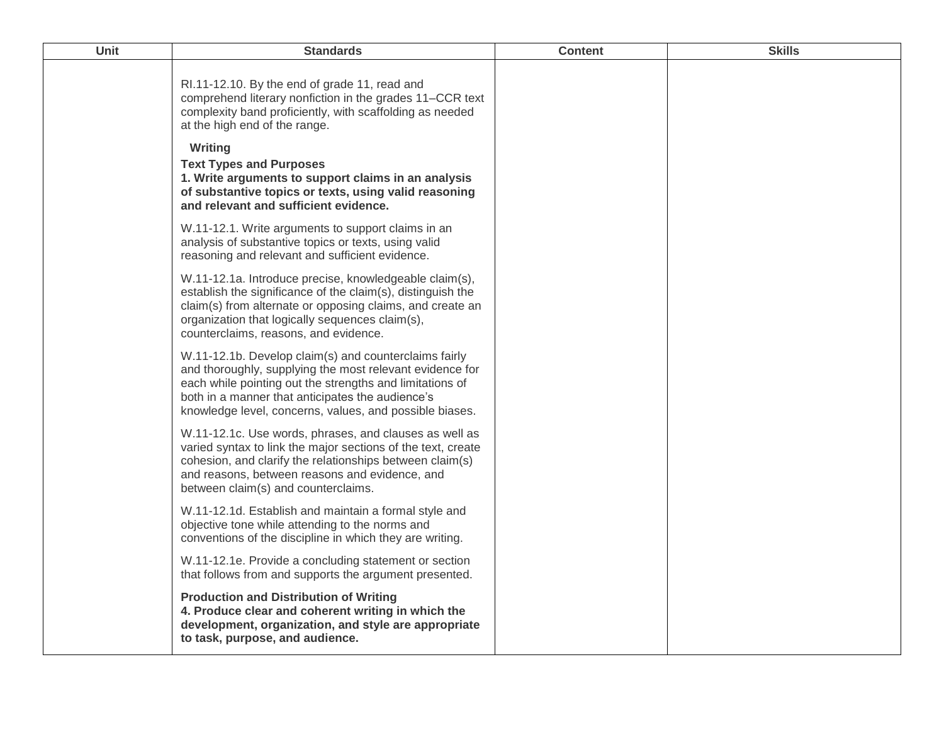| Unit | <b>Standards</b>                                                                                                                                                                                                                                                                                                                                                                                             | <b>Content</b> | <b>Skills</b> |
|------|--------------------------------------------------------------------------------------------------------------------------------------------------------------------------------------------------------------------------------------------------------------------------------------------------------------------------------------------------------------------------------------------------------------|----------------|---------------|
|      | RI.11-12.10. By the end of grade 11, read and<br>comprehend literary nonfiction in the grades 11–CCR text<br>complexity band proficiently, with scaffolding as needed<br>at the high end of the range.<br>Writing<br><b>Text Types and Purposes</b><br>1. Write arguments to support claims in an analysis<br>of substantive topics or texts, using valid reasoning<br>and relevant and sufficient evidence. |                |               |
|      | W.11-12.1. Write arguments to support claims in an<br>analysis of substantive topics or texts, using valid<br>reasoning and relevant and sufficient evidence.                                                                                                                                                                                                                                                |                |               |
|      | W.11-12.1a. Introduce precise, knowledgeable claim(s),<br>establish the significance of the claim(s), distinguish the<br>claim(s) from alternate or opposing claims, and create an<br>organization that logically sequences claim(s),<br>counterclaims, reasons, and evidence.                                                                                                                               |                |               |
|      | W.11-12.1b. Develop claim(s) and counterclaims fairly<br>and thoroughly, supplying the most relevant evidence for<br>each while pointing out the strengths and limitations of<br>both in a manner that anticipates the audience's<br>knowledge level, concerns, values, and possible biases.                                                                                                                 |                |               |
|      | W.11-12.1c. Use words, phrases, and clauses as well as<br>varied syntax to link the major sections of the text, create<br>cohesion, and clarify the relationships between claim(s)<br>and reasons, between reasons and evidence, and<br>between claim(s) and counterclaims.                                                                                                                                  |                |               |
|      | W.11-12.1d. Establish and maintain a formal style and<br>objective tone while attending to the norms and<br>conventions of the discipline in which they are writing.                                                                                                                                                                                                                                         |                |               |
|      | W.11-12.1e. Provide a concluding statement or section<br>that follows from and supports the argument presented.                                                                                                                                                                                                                                                                                              |                |               |
|      | <b>Production and Distribution of Writing</b><br>4. Produce clear and coherent writing in which the<br>development, organization, and style are appropriate<br>to task, purpose, and audience.                                                                                                                                                                                                               |                |               |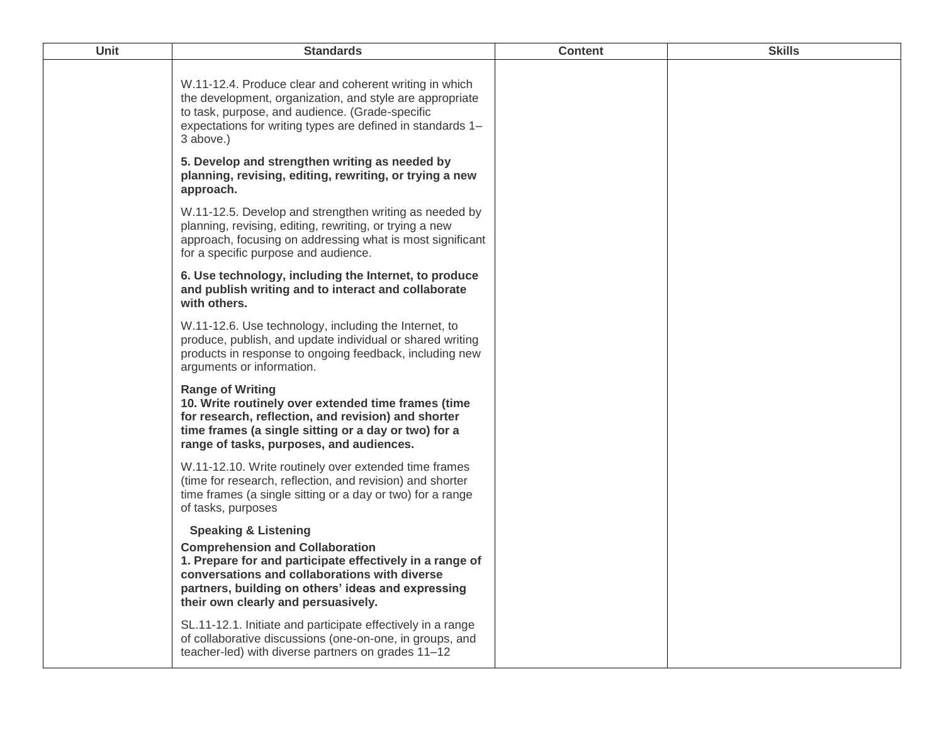| Unit | <b>Standards</b>                                                                                                                                                                                                                                                                    | <b>Content</b> | <b>Skills</b> |
|------|-------------------------------------------------------------------------------------------------------------------------------------------------------------------------------------------------------------------------------------------------------------------------------------|----------------|---------------|
|      | W.11-12.4. Produce clear and coherent writing in which<br>the development, organization, and style are appropriate<br>to task, purpose, and audience. (Grade-specific<br>expectations for writing types are defined in standards 1-<br>3 above.)                                    |                |               |
|      | 5. Develop and strengthen writing as needed by<br>planning, revising, editing, rewriting, or trying a new<br>approach.                                                                                                                                                              |                |               |
|      | W.11-12.5. Develop and strengthen writing as needed by<br>planning, revising, editing, rewriting, or trying a new<br>approach, focusing on addressing what is most significant<br>for a specific purpose and audience.                                                              |                |               |
|      | 6. Use technology, including the Internet, to produce<br>and publish writing and to interact and collaborate<br>with others.                                                                                                                                                        |                |               |
|      | W.11-12.6. Use technology, including the Internet, to<br>produce, publish, and update individual or shared writing<br>products in response to ongoing feedback, including new<br>arguments or information.                                                                          |                |               |
|      | <b>Range of Writing</b><br>10. Write routinely over extended time frames (time<br>for research, reflection, and revision) and shorter<br>time frames (a single sitting or a day or two) for a<br>range of tasks, purposes, and audiences.                                           |                |               |
|      | W.11-12.10. Write routinely over extended time frames<br>(time for research, reflection, and revision) and shorter<br>time frames (a single sitting or a day or two) for a range<br>of tasks, purposes                                                                              |                |               |
|      | <b>Speaking &amp; Listening</b><br><b>Comprehension and Collaboration</b><br>1. Prepare for and participate effectively in a range of<br>conversations and collaborations with diverse<br>partners, building on others' ideas and expressing<br>their own clearly and persuasively. |                |               |
|      | SL.11-12.1. Initiate and participate effectively in a range<br>of collaborative discussions (one-on-one, in groups, and<br>teacher-led) with diverse partners on grades 11-12                                                                                                       |                |               |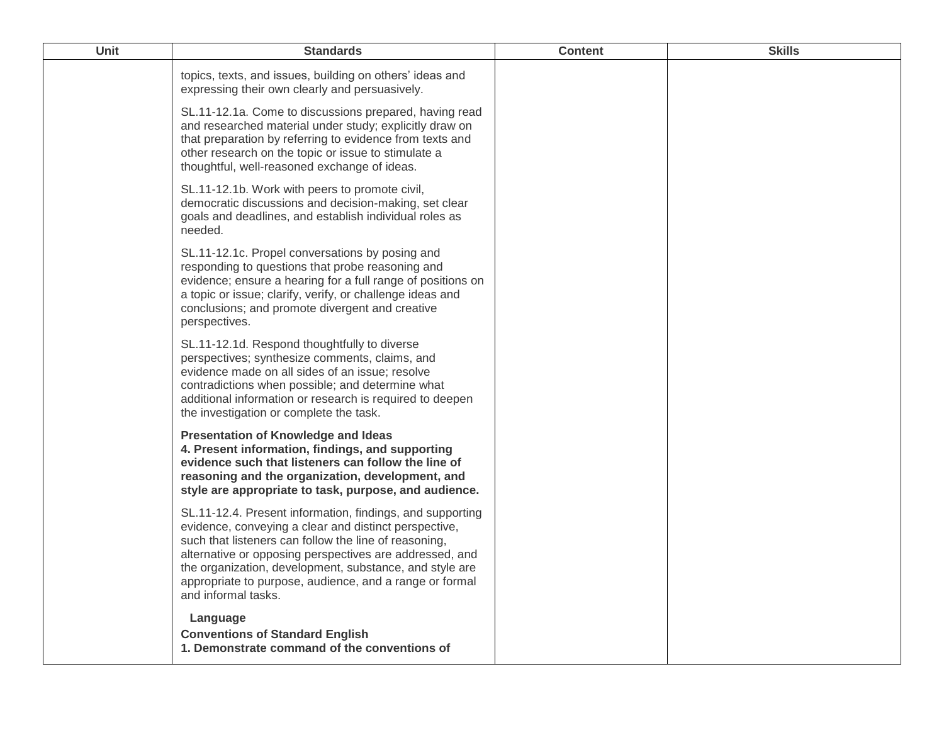| Unit | <b>Standards</b>                                                                                                                                                                                                                                                                                                                                                                    | <b>Content</b> | <b>Skills</b> |
|------|-------------------------------------------------------------------------------------------------------------------------------------------------------------------------------------------------------------------------------------------------------------------------------------------------------------------------------------------------------------------------------------|----------------|---------------|
|      | topics, texts, and issues, building on others' ideas and<br>expressing their own clearly and persuasively.                                                                                                                                                                                                                                                                          |                |               |
|      | SL.11-12.1a. Come to discussions prepared, having read<br>and researched material under study; explicitly draw on<br>that preparation by referring to evidence from texts and<br>other research on the topic or issue to stimulate a<br>thoughtful, well-reasoned exchange of ideas.                                                                                                |                |               |
|      | SL.11-12.1b. Work with peers to promote civil,<br>democratic discussions and decision-making, set clear<br>goals and deadlines, and establish individual roles as<br>needed.                                                                                                                                                                                                        |                |               |
|      | SL.11-12.1c. Propel conversations by posing and<br>responding to questions that probe reasoning and<br>evidence; ensure a hearing for a full range of positions on<br>a topic or issue; clarify, verify, or challenge ideas and<br>conclusions; and promote divergent and creative<br>perspectives.                                                                                 |                |               |
|      | SL.11-12.1d. Respond thoughtfully to diverse<br>perspectives; synthesize comments, claims, and<br>evidence made on all sides of an issue; resolve<br>contradictions when possible; and determine what<br>additional information or research is required to deepen<br>the investigation or complete the task.                                                                        |                |               |
|      | <b>Presentation of Knowledge and Ideas</b><br>4. Present information, findings, and supporting<br>evidence such that listeners can follow the line of<br>reasoning and the organization, development, and<br>style are appropriate to task, purpose, and audience.                                                                                                                  |                |               |
|      | SL.11-12.4. Present information, findings, and supporting<br>evidence, conveying a clear and distinct perspective,<br>such that listeners can follow the line of reasoning,<br>alternative or opposing perspectives are addressed, and<br>the organization, development, substance, and style are<br>appropriate to purpose, audience, and a range or formal<br>and informal tasks. |                |               |
|      | Language<br><b>Conventions of Standard English</b><br>1. Demonstrate command of the conventions of                                                                                                                                                                                                                                                                                  |                |               |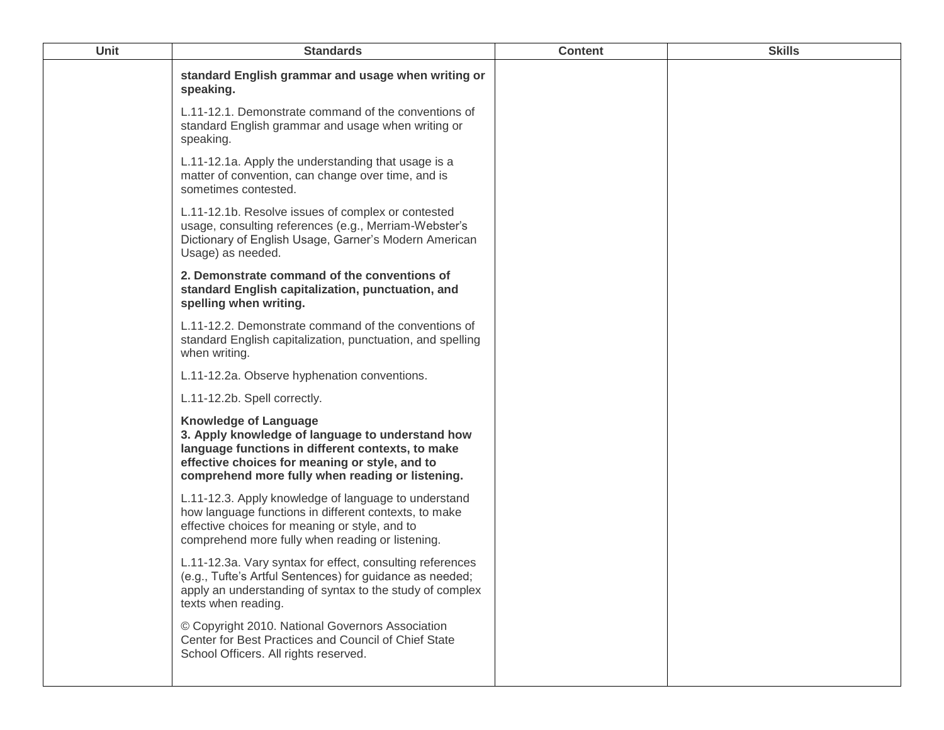| Unit | <b>Standards</b>                                                                                                                                                                                                                            | <b>Content</b> | <b>Skills</b> |
|------|---------------------------------------------------------------------------------------------------------------------------------------------------------------------------------------------------------------------------------------------|----------------|---------------|
|      | standard English grammar and usage when writing or<br>speaking.                                                                                                                                                                             |                |               |
|      | L.11-12.1. Demonstrate command of the conventions of<br>standard English grammar and usage when writing or<br>speaking.                                                                                                                     |                |               |
|      | L.11-12.1a. Apply the understanding that usage is a<br>matter of convention, can change over time, and is<br>sometimes contested.                                                                                                           |                |               |
|      | L.11-12.1b. Resolve issues of complex or contested<br>usage, consulting references (e.g., Merriam-Webster's<br>Dictionary of English Usage, Garner's Modern American<br>Usage) as needed.                                                   |                |               |
|      | 2. Demonstrate command of the conventions of<br>standard English capitalization, punctuation, and<br>spelling when writing.                                                                                                                 |                |               |
|      | L.11-12.2. Demonstrate command of the conventions of<br>standard English capitalization, punctuation, and spelling<br>when writing.                                                                                                         |                |               |
|      | L.11-12.2a. Observe hyphenation conventions.                                                                                                                                                                                                |                |               |
|      | L.11-12.2b. Spell correctly.                                                                                                                                                                                                                |                |               |
|      | <b>Knowledge of Language</b><br>3. Apply knowledge of language to understand how<br>language functions in different contexts, to make<br>effective choices for meaning or style, and to<br>comprehend more fully when reading or listening. |                |               |
|      | L.11-12.3. Apply knowledge of language to understand<br>how language functions in different contexts, to make<br>effective choices for meaning or style, and to<br>comprehend more fully when reading or listening.                         |                |               |
|      | L.11-12.3a. Vary syntax for effect, consulting references<br>(e.g., Tufte's Artful Sentences) for guidance as needed;<br>apply an understanding of syntax to the study of complex<br>texts when reading.                                    |                |               |
|      | © Copyright 2010. National Governors Association<br>Center for Best Practices and Council of Chief State<br>School Officers. All rights reserved.                                                                                           |                |               |
|      |                                                                                                                                                                                                                                             |                |               |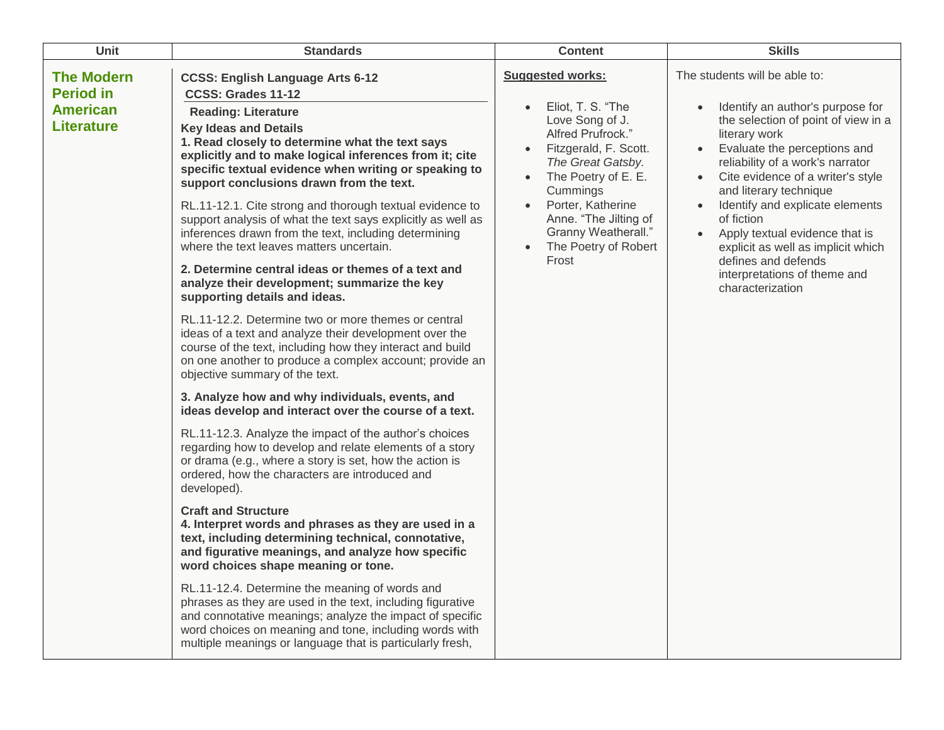| <b>Unit</b>                                                                   | <b>Standards</b>                                                                                                                                                                                                                                                                                                                                                                                                                                                                                                                                                                                                                                                                                                                                                                                                                                                                                                                                                                                                                                                                                                                                                                                                                                                                                                                                                                                                                                                                                                                                                                                                                                                                                                                                                                                                                                                                                           | <b>Content</b>                                                                                                                                                                                                                                                                                                     | <b>Skills</b>                                                                                                                                                                                                                                                                                                                                                                                                                                                                 |
|-------------------------------------------------------------------------------|------------------------------------------------------------------------------------------------------------------------------------------------------------------------------------------------------------------------------------------------------------------------------------------------------------------------------------------------------------------------------------------------------------------------------------------------------------------------------------------------------------------------------------------------------------------------------------------------------------------------------------------------------------------------------------------------------------------------------------------------------------------------------------------------------------------------------------------------------------------------------------------------------------------------------------------------------------------------------------------------------------------------------------------------------------------------------------------------------------------------------------------------------------------------------------------------------------------------------------------------------------------------------------------------------------------------------------------------------------------------------------------------------------------------------------------------------------------------------------------------------------------------------------------------------------------------------------------------------------------------------------------------------------------------------------------------------------------------------------------------------------------------------------------------------------------------------------------------------------------------------------------------------------|--------------------------------------------------------------------------------------------------------------------------------------------------------------------------------------------------------------------------------------------------------------------------------------------------------------------|-------------------------------------------------------------------------------------------------------------------------------------------------------------------------------------------------------------------------------------------------------------------------------------------------------------------------------------------------------------------------------------------------------------------------------------------------------------------------------|
| <b>The Modern</b><br><b>Period in</b><br><b>American</b><br><b>Literature</b> | <b>CCSS: English Language Arts 6-12</b><br>CCSS: Grades 11-12<br><b>Reading: Literature</b><br><b>Key Ideas and Details</b><br>1. Read closely to determine what the text says<br>explicitly and to make logical inferences from it; cite<br>specific textual evidence when writing or speaking to<br>support conclusions drawn from the text.<br>RL.11-12.1. Cite strong and thorough textual evidence to<br>support analysis of what the text says explicitly as well as<br>inferences drawn from the text, including determining<br>where the text leaves matters uncertain.<br>2. Determine central ideas or themes of a text and<br>analyze their development; summarize the key<br>supporting details and ideas.<br>RL.11-12.2. Determine two or more themes or central<br>ideas of a text and analyze their development over the<br>course of the text, including how they interact and build<br>on one another to produce a complex account; provide an<br>objective summary of the text.<br>3. Analyze how and why individuals, events, and<br>ideas develop and interact over the course of a text.<br>RL.11-12.3. Analyze the impact of the author's choices<br>regarding how to develop and relate elements of a story<br>or drama (e.g., where a story is set, how the action is<br>ordered, how the characters are introduced and<br>developed).<br><b>Craft and Structure</b><br>4. Interpret words and phrases as they are used in a<br>text, including determining technical, connotative,<br>and figurative meanings, and analyze how specific<br>word choices shape meaning or tone.<br>RL.11-12.4. Determine the meaning of words and<br>phrases as they are used in the text, including figurative<br>and connotative meanings; analyze the impact of specific<br>word choices on meaning and tone, including words with<br>multiple meanings or language that is particularly fresh, | <b>Suggested works:</b><br>Eliot, T. S. "The<br>Love Song of J.<br>Alfred Prufrock."<br>Fitzgerald, F. Scott.<br>The Great Gatsby.<br>The Poetry of E. E.<br>$\bullet$<br>Cummings<br>Porter, Katherine<br>$\bullet$<br>Anne. "The Jilting of<br>Granny Weatherall."<br>The Poetry of Robert<br>$\bullet$<br>Frost | The students will be able to:<br>Identify an author's purpose for<br>the selection of point of view in a<br>literary work<br>Evaluate the perceptions and<br>reliability of a work's narrator<br>Cite evidence of a writer's style<br>and literary technique<br>Identify and explicate elements<br>of fiction<br>Apply textual evidence that is<br>$\bullet$<br>explicit as well as implicit which<br>defines and defends<br>interpretations of theme and<br>characterization |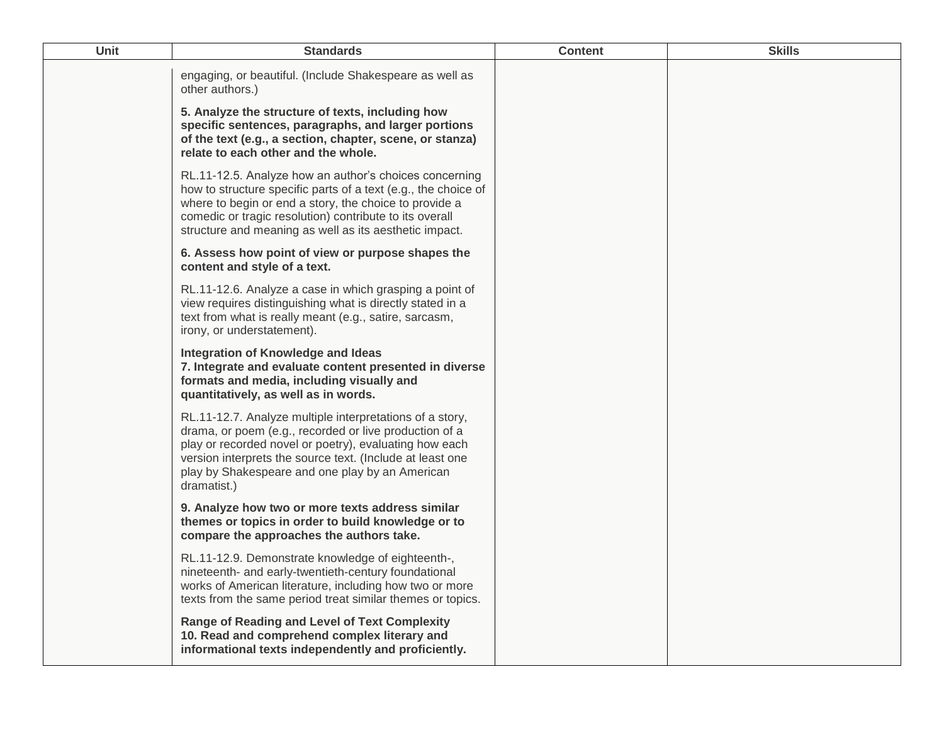| Unit | <b>Standards</b>                                                                                                                                                                                                                                                                                            | <b>Content</b> | <b>Skills</b> |
|------|-------------------------------------------------------------------------------------------------------------------------------------------------------------------------------------------------------------------------------------------------------------------------------------------------------------|----------------|---------------|
|      | engaging, or beautiful. (Include Shakespeare as well as<br>other authors.)                                                                                                                                                                                                                                  |                |               |
|      | 5. Analyze the structure of texts, including how<br>specific sentences, paragraphs, and larger portions<br>of the text (e.g., a section, chapter, scene, or stanza)<br>relate to each other and the whole.                                                                                                  |                |               |
|      | RL.11-12.5. Analyze how an author's choices concerning<br>how to structure specific parts of a text (e.g., the choice of<br>where to begin or end a story, the choice to provide a<br>comedic or tragic resolution) contribute to its overall<br>structure and meaning as well as its aesthetic impact.     |                |               |
|      | 6. Assess how point of view or purpose shapes the<br>content and style of a text.                                                                                                                                                                                                                           |                |               |
|      | RL.11-12.6. Analyze a case in which grasping a point of<br>view requires distinguishing what is directly stated in a<br>text from what is really meant (e.g., satire, sarcasm,<br>irony, or understatement).                                                                                                |                |               |
|      | Integration of Knowledge and Ideas<br>7. Integrate and evaluate content presented in diverse<br>formats and media, including visually and<br>quantitatively, as well as in words.                                                                                                                           |                |               |
|      | RL.11-12.7. Analyze multiple interpretations of a story,<br>drama, or poem (e.g., recorded or live production of a<br>play or recorded novel or poetry), evaluating how each<br>version interprets the source text. (Include at least one<br>play by Shakespeare and one play by an American<br>dramatist.) |                |               |
|      | 9. Analyze how two or more texts address similar<br>themes or topics in order to build knowledge or to<br>compare the approaches the authors take.                                                                                                                                                          |                |               |
|      | RL.11-12.9. Demonstrate knowledge of eighteenth-,<br>nineteenth- and early-twentieth-century foundational<br>works of American literature, including how two or more<br>texts from the same period treat similar themes or topics.                                                                          |                |               |
|      | Range of Reading and Level of Text Complexity<br>10. Read and comprehend complex literary and<br>informational texts independently and proficiently.                                                                                                                                                        |                |               |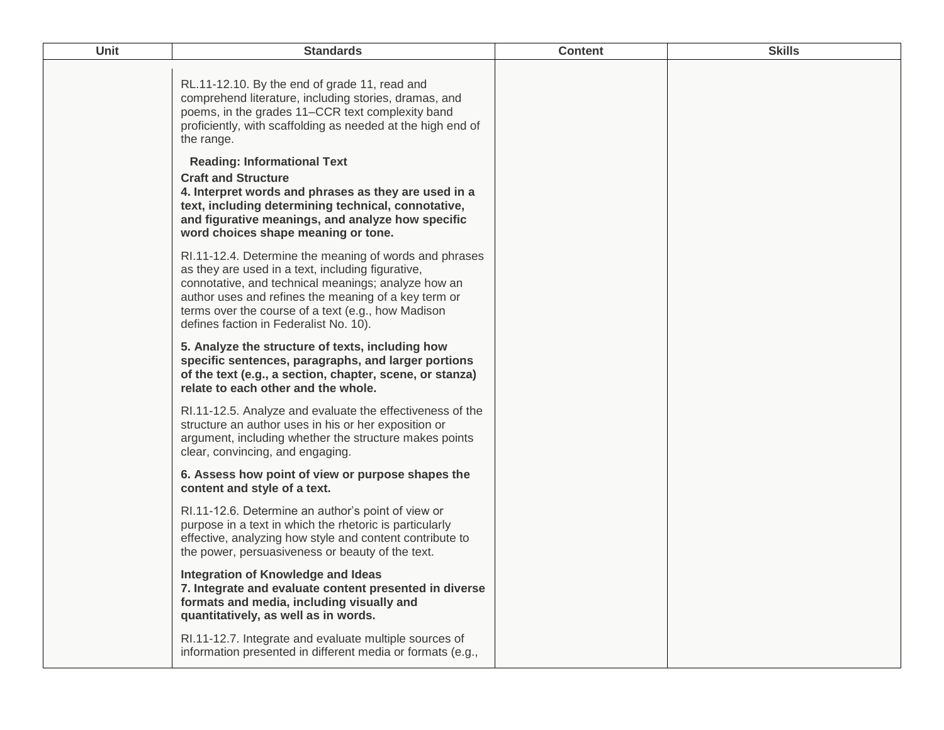| Unit | <b>Standards</b>                                                                                                                                                                                                                                                                                                           | <b>Content</b> | <b>Skills</b> |
|------|----------------------------------------------------------------------------------------------------------------------------------------------------------------------------------------------------------------------------------------------------------------------------------------------------------------------------|----------------|---------------|
|      | RL.11-12.10. By the end of grade 11, read and<br>comprehend literature, including stories, dramas, and<br>poems, in the grades 11–CCR text complexity band<br>proficiently, with scaffolding as needed at the high end of<br>the range.                                                                                    |                |               |
|      | <b>Reading: Informational Text</b><br><b>Craft and Structure</b><br>4. Interpret words and phrases as they are used in a<br>text, including determining technical, connotative,<br>and figurative meanings, and analyze how specific<br>word choices shape meaning or tone.                                                |                |               |
|      | RI.11-12.4. Determine the meaning of words and phrases<br>as they are used in a text, including figurative,<br>connotative, and technical meanings; analyze how an<br>author uses and refines the meaning of a key term or<br>terms over the course of a text (e.g., how Madison<br>defines faction in Federalist No. 10). |                |               |
|      | 5. Analyze the structure of texts, including how<br>specific sentences, paragraphs, and larger portions<br>of the text (e.g., a section, chapter, scene, or stanza)<br>relate to each other and the whole.                                                                                                                 |                |               |
|      | RI.11-12.5. Analyze and evaluate the effectiveness of the<br>structure an author uses in his or her exposition or<br>argument, including whether the structure makes points<br>clear, convincing, and engaging.                                                                                                            |                |               |
|      | 6. Assess how point of view or purpose shapes the<br>content and style of a text.                                                                                                                                                                                                                                          |                |               |
|      | RI.11-12.6. Determine an author's point of view or<br>purpose in a text in which the rhetoric is particularly<br>effective, analyzing how style and content contribute to<br>the power, persuasiveness or beauty of the text.                                                                                              |                |               |
|      | Integration of Knowledge and Ideas<br>7. Integrate and evaluate content presented in diverse<br>formats and media, including visually and<br>quantitatively, as well as in words.                                                                                                                                          |                |               |
|      | RI.11-12.7. Integrate and evaluate multiple sources of<br>information presented in different media or formats (e.g.,                                                                                                                                                                                                       |                |               |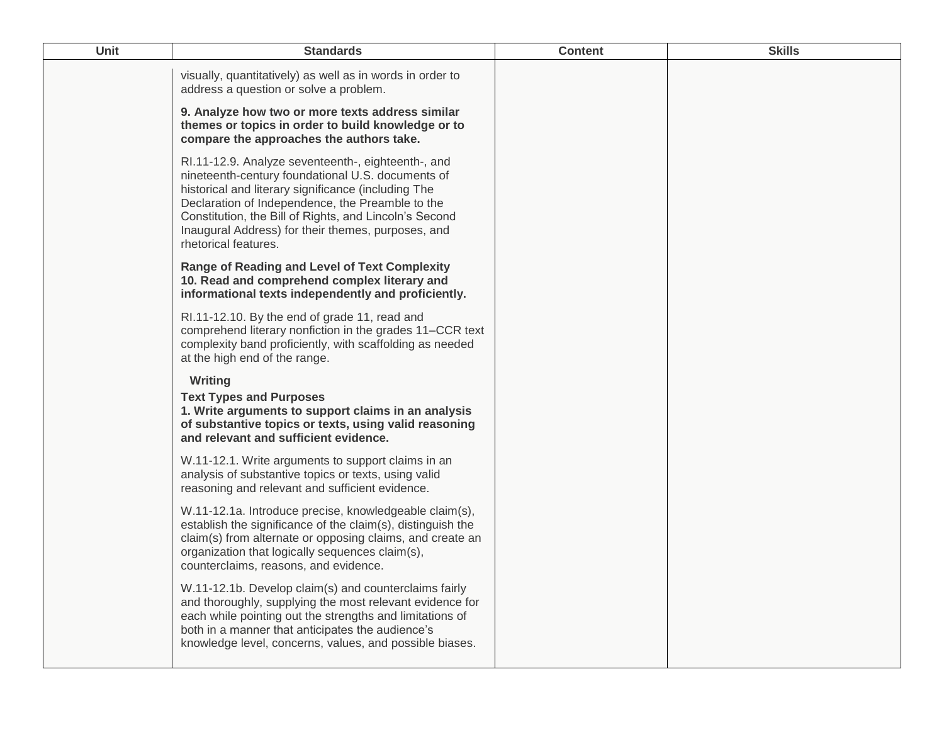| <b>Unit</b> | <b>Standards</b>                                                                                                                                                                                                                                                                                                                                           | <b>Content</b> | <b>Skills</b> |
|-------------|------------------------------------------------------------------------------------------------------------------------------------------------------------------------------------------------------------------------------------------------------------------------------------------------------------------------------------------------------------|----------------|---------------|
|             | visually, quantitatively) as well as in words in order to<br>address a question or solve a problem.                                                                                                                                                                                                                                                        |                |               |
|             | 9. Analyze how two or more texts address similar<br>themes or topics in order to build knowledge or to<br>compare the approaches the authors take.                                                                                                                                                                                                         |                |               |
|             | RI.11-12.9. Analyze seventeenth-, eighteenth-, and<br>nineteenth-century foundational U.S. documents of<br>historical and literary significance (including The<br>Declaration of Independence, the Preamble to the<br>Constitution, the Bill of Rights, and Lincoln's Second<br>Inaugural Address) for their themes, purposes, and<br>rhetorical features. |                |               |
|             | <b>Range of Reading and Level of Text Complexity</b><br>10. Read and comprehend complex literary and<br>informational texts independently and proficiently.                                                                                                                                                                                                |                |               |
|             | RI.11-12.10. By the end of grade 11, read and<br>comprehend literary nonfiction in the grades 11–CCR text<br>complexity band proficiently, with scaffolding as needed<br>at the high end of the range.                                                                                                                                                     |                |               |
|             | <b>Writing</b><br><b>Text Types and Purposes</b><br>1. Write arguments to support claims in an analysis<br>of substantive topics or texts, using valid reasoning<br>and relevant and sufficient evidence.                                                                                                                                                  |                |               |
|             | W.11-12.1. Write arguments to support claims in an<br>analysis of substantive topics or texts, using valid<br>reasoning and relevant and sufficient evidence.                                                                                                                                                                                              |                |               |
|             | W.11-12.1a. Introduce precise, knowledgeable claim(s),<br>establish the significance of the claim(s), distinguish the<br>claim(s) from alternate or opposing claims, and create an<br>organization that logically sequences claim(s),<br>counterclaims, reasons, and evidence.                                                                             |                |               |
|             | W.11-12.1b. Develop claim(s) and counterclaims fairly<br>and thoroughly, supplying the most relevant evidence for<br>each while pointing out the strengths and limitations of<br>both in a manner that anticipates the audience's<br>knowledge level, concerns, values, and possible biases.                                                               |                |               |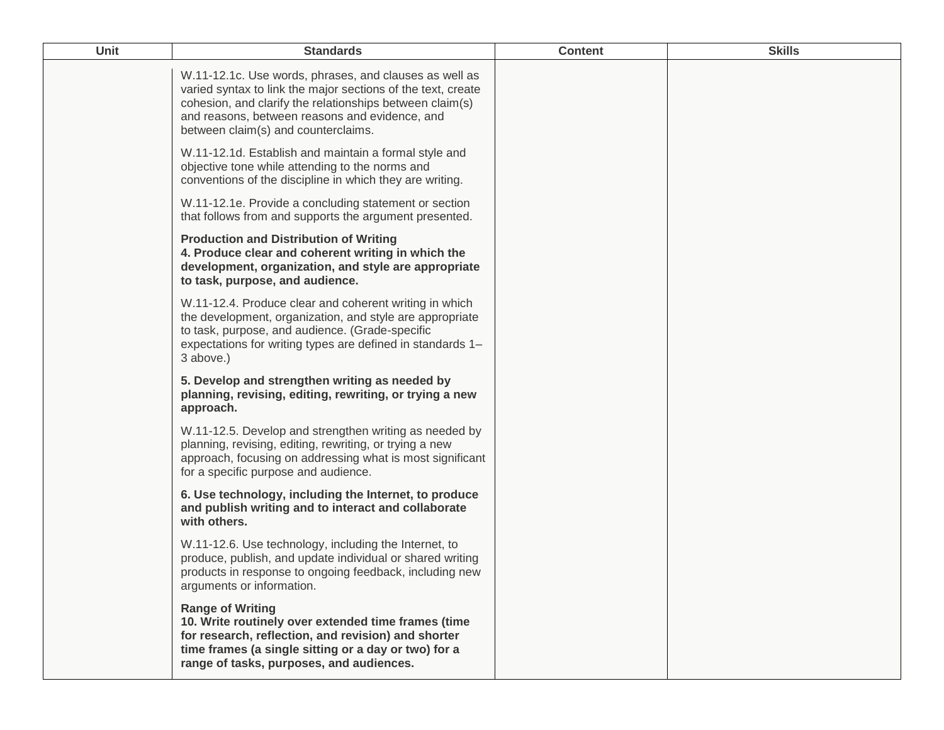| Unit | <b>Standards</b>                                                                                                                                                                                                                                                            | <b>Content</b> | <b>Skills</b> |
|------|-----------------------------------------------------------------------------------------------------------------------------------------------------------------------------------------------------------------------------------------------------------------------------|----------------|---------------|
|      | W.11-12.1c. Use words, phrases, and clauses as well as<br>varied syntax to link the major sections of the text, create<br>cohesion, and clarify the relationships between claim(s)<br>and reasons, between reasons and evidence, and<br>between claim(s) and counterclaims. |                |               |
|      | W.11-12.1d. Establish and maintain a formal style and<br>objective tone while attending to the norms and<br>conventions of the discipline in which they are writing.                                                                                                        |                |               |
|      | W.11-12.1e. Provide a concluding statement or section<br>that follows from and supports the argument presented.                                                                                                                                                             |                |               |
|      | <b>Production and Distribution of Writing</b><br>4. Produce clear and coherent writing in which the<br>development, organization, and style are appropriate<br>to task, purpose, and audience.                                                                              |                |               |
|      | W.11-12.4. Produce clear and coherent writing in which<br>the development, organization, and style are appropriate<br>to task, purpose, and audience. (Grade-specific<br>expectations for writing types are defined in standards 1-<br>3 above.)                            |                |               |
|      | 5. Develop and strengthen writing as needed by<br>planning, revising, editing, rewriting, or trying a new<br>approach.                                                                                                                                                      |                |               |
|      | W.11-12.5. Develop and strengthen writing as needed by<br>planning, revising, editing, rewriting, or trying a new<br>approach, focusing on addressing what is most significant<br>for a specific purpose and audience.                                                      |                |               |
|      | 6. Use technology, including the Internet, to produce<br>and publish writing and to interact and collaborate<br>with others.                                                                                                                                                |                |               |
|      | W.11-12.6. Use technology, including the Internet, to<br>produce, publish, and update individual or shared writing<br>products in response to ongoing feedback, including new<br>arguments or information.                                                                  |                |               |
|      | <b>Range of Writing</b><br>10. Write routinely over extended time frames (time<br>for research, reflection, and revision) and shorter<br>time frames (a single sitting or a day or two) for a<br>range of tasks, purposes, and audiences.                                   |                |               |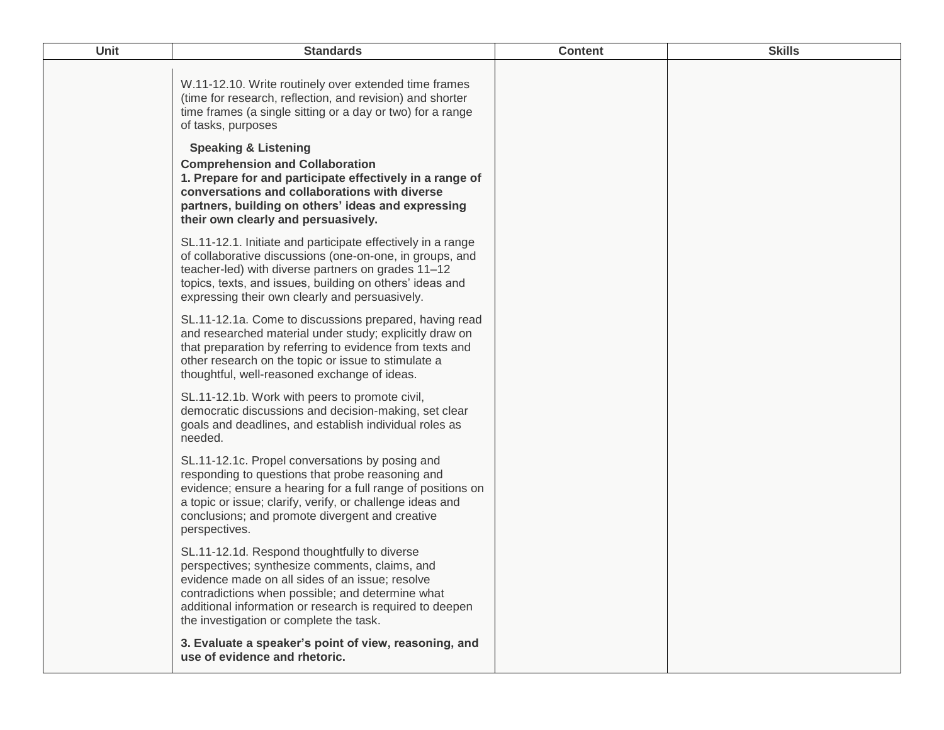| <b>Unit</b> | <b>Standards</b>                                                                                                                                                                                                                                                                                                                                                                                                                                                                              | <b>Content</b> | <b>Skills</b> |
|-------------|-----------------------------------------------------------------------------------------------------------------------------------------------------------------------------------------------------------------------------------------------------------------------------------------------------------------------------------------------------------------------------------------------------------------------------------------------------------------------------------------------|----------------|---------------|
|             | W.11-12.10. Write routinely over extended time frames<br>(time for research, reflection, and revision) and shorter<br>time frames (a single sitting or a day or two) for a range<br>of tasks, purposes<br><b>Speaking &amp; Listening</b><br><b>Comprehension and Collaboration</b><br>1. Prepare for and participate effectively in a range of<br>conversations and collaborations with diverse<br>partners, building on others' ideas and expressing<br>their own clearly and persuasively. |                |               |
|             | SL.11-12.1. Initiate and participate effectively in a range<br>of collaborative discussions (one-on-one, in groups, and<br>teacher-led) with diverse partners on grades 11-12<br>topics, texts, and issues, building on others' ideas and<br>expressing their own clearly and persuasively.                                                                                                                                                                                                   |                |               |
|             | SL.11-12.1a. Come to discussions prepared, having read<br>and researched material under study; explicitly draw on<br>that preparation by referring to evidence from texts and<br>other research on the topic or issue to stimulate a<br>thoughtful, well-reasoned exchange of ideas.                                                                                                                                                                                                          |                |               |
|             | SL.11-12.1b. Work with peers to promote civil,<br>democratic discussions and decision-making, set clear<br>goals and deadlines, and establish individual roles as<br>needed.                                                                                                                                                                                                                                                                                                                  |                |               |
|             | SL.11-12.1c. Propel conversations by posing and<br>responding to questions that probe reasoning and<br>evidence; ensure a hearing for a full range of positions on<br>a topic or issue; clarify, verify, or challenge ideas and<br>conclusions; and promote divergent and creative<br>perspectives.                                                                                                                                                                                           |                |               |
|             | SL.11-12.1d. Respond thoughtfully to diverse<br>perspectives; synthesize comments, claims, and<br>evidence made on all sides of an issue; resolve<br>contradictions when possible; and determine what<br>additional information or research is required to deepen<br>the investigation or complete the task.                                                                                                                                                                                  |                |               |
|             | 3. Evaluate a speaker's point of view, reasoning, and<br>use of evidence and rhetoric.                                                                                                                                                                                                                                                                                                                                                                                                        |                |               |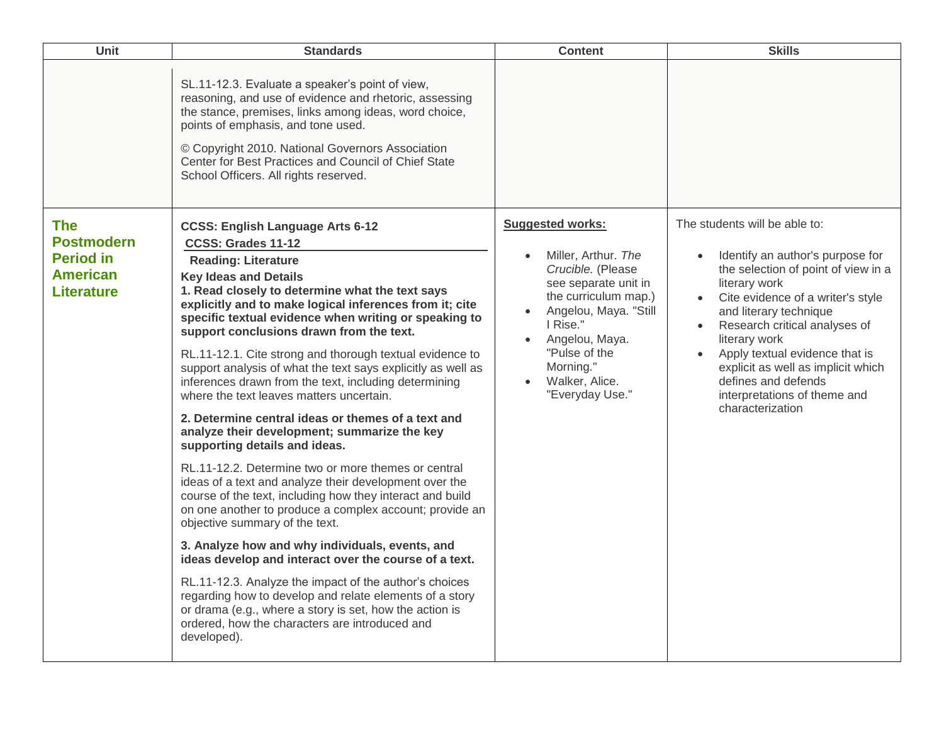| Unit<br><b>Standards</b>                                                                                                                                                                                                                                                                                                                                                                                                                                                                                                                                                                                                                                                                                                                                                                                                                                                                                                                                                                                                                                                                                                                                                                                                                                                                                                                                                                                                                                                                 | <b>Content</b><br><b>Skills</b>                                                                                                                                                                                                                                                                                                                                                                                                                                                                                                                                                                                                    |
|------------------------------------------------------------------------------------------------------------------------------------------------------------------------------------------------------------------------------------------------------------------------------------------------------------------------------------------------------------------------------------------------------------------------------------------------------------------------------------------------------------------------------------------------------------------------------------------------------------------------------------------------------------------------------------------------------------------------------------------------------------------------------------------------------------------------------------------------------------------------------------------------------------------------------------------------------------------------------------------------------------------------------------------------------------------------------------------------------------------------------------------------------------------------------------------------------------------------------------------------------------------------------------------------------------------------------------------------------------------------------------------------------------------------------------------------------------------------------------------|------------------------------------------------------------------------------------------------------------------------------------------------------------------------------------------------------------------------------------------------------------------------------------------------------------------------------------------------------------------------------------------------------------------------------------------------------------------------------------------------------------------------------------------------------------------------------------------------------------------------------------|
| SL.11-12.3. Evaluate a speaker's point of view,<br>reasoning, and use of evidence and rhetoric, assessing<br>the stance, premises, links among ideas, word choice,<br>points of emphasis, and tone used.<br>© Copyright 2010. National Governors Association<br>Center for Best Practices and Council of Chief State<br>School Officers. All rights reserved.                                                                                                                                                                                                                                                                                                                                                                                                                                                                                                                                                                                                                                                                                                                                                                                                                                                                                                                                                                                                                                                                                                                            |                                                                                                                                                                                                                                                                                                                                                                                                                                                                                                                                                                                                                                    |
| <b>Suggested works:</b><br><b>The</b><br><b>CCSS: English Language Arts 6-12</b><br><b>Postmodern</b><br>CCSS: Grades 11-12<br><b>Period in</b><br><b>Reading: Literature</b><br><b>American</b><br><b>Key Ideas and Details</b><br>1. Read closely to determine what the text says<br><b>Literature</b><br>explicitly and to make logical inferences from it; cite<br>specific textual evidence when writing or speaking to<br>support conclusions drawn from the text.<br>RL.11-12.1. Cite strong and thorough textual evidence to<br>support analysis of what the text says explicitly as well as<br>inferences drawn from the text, including determining<br>where the text leaves matters uncertain.<br>2. Determine central ideas or themes of a text and<br>analyze their development; summarize the key<br>supporting details and ideas.<br>RL.11-12.2. Determine two or more themes or central<br>ideas of a text and analyze their development over the<br>course of the text, including how they interact and build<br>on one another to produce a complex account; provide an<br>objective summary of the text.<br>3. Analyze how and why individuals, events, and<br>ideas develop and interact over the course of a text.<br>RL.11-12.3. Analyze the impact of the author's choices<br>regarding how to develop and relate elements of a story<br>or drama (e.g., where a story is set, how the action is<br>ordered, how the characters are introduced and<br>developed). | The students will be able to:<br>Miller, Arthur. The<br>Identify an author's purpose for<br>Crucible. (Please<br>the selection of point of view in a<br>literary work<br>see separate unit in<br>the curriculum map.)<br>• Cite evidence of a writer's style<br>Angelou, Maya. "Still<br>and literary technique<br>I Rise."<br>Research critical analyses of<br>$\bullet$<br>Angelou, Maya.<br>literary work<br>"Pulse of the<br>Apply textual evidence that is<br>Morning."<br>explicit as well as implicit which<br>defines and defends<br>Walker, Alice.<br>"Everyday Use."<br>interpretations of theme and<br>characterization |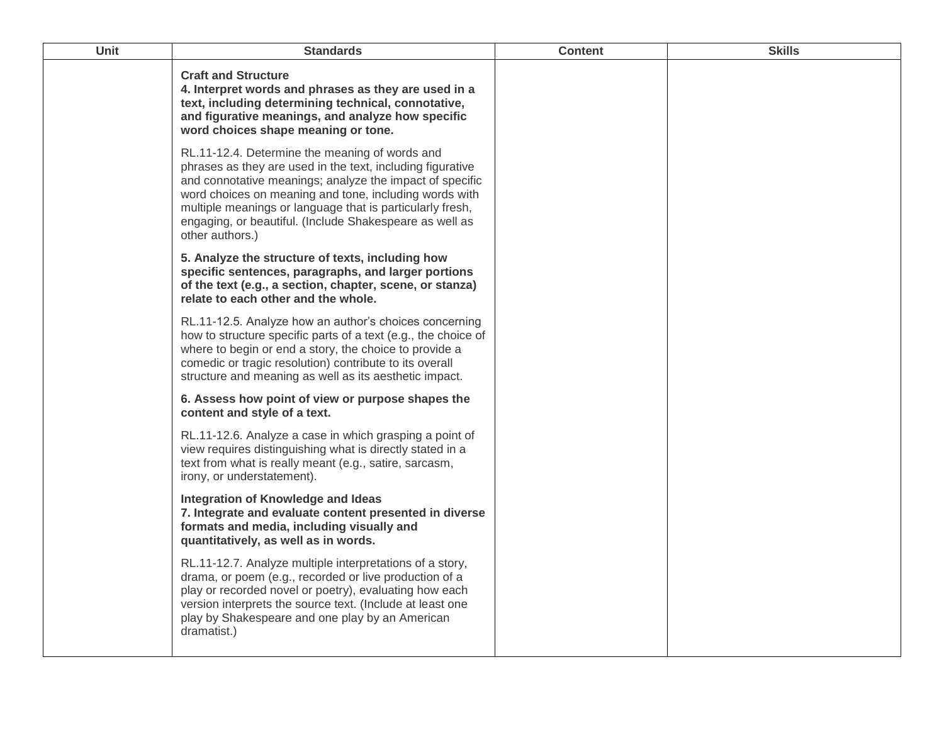| <b>Unit</b> | <b>Standards</b>                                                                                                                                                                                                                                                                                                                                                              | <b>Content</b> | <b>Skills</b> |
|-------------|-------------------------------------------------------------------------------------------------------------------------------------------------------------------------------------------------------------------------------------------------------------------------------------------------------------------------------------------------------------------------------|----------------|---------------|
|             | <b>Craft and Structure</b><br>4. Interpret words and phrases as they are used in a<br>text, including determining technical, connotative,<br>and figurative meanings, and analyze how specific<br>word choices shape meaning or tone.                                                                                                                                         |                |               |
|             | RL.11-12.4. Determine the meaning of words and<br>phrases as they are used in the text, including figurative<br>and connotative meanings; analyze the impact of specific<br>word choices on meaning and tone, including words with<br>multiple meanings or language that is particularly fresh,<br>engaging, or beautiful. (Include Shakespeare as well as<br>other authors.) |                |               |
|             | 5. Analyze the structure of texts, including how<br>specific sentences, paragraphs, and larger portions<br>of the text (e.g., a section, chapter, scene, or stanza)<br>relate to each other and the whole.                                                                                                                                                                    |                |               |
|             | RL.11-12.5. Analyze how an author's choices concerning<br>how to structure specific parts of a text (e.g., the choice of<br>where to begin or end a story, the choice to provide a<br>comedic or tragic resolution) contribute to its overall<br>structure and meaning as well as its aesthetic impact.                                                                       |                |               |
|             | 6. Assess how point of view or purpose shapes the<br>content and style of a text.                                                                                                                                                                                                                                                                                             |                |               |
|             | RL.11-12.6. Analyze a case in which grasping a point of<br>view requires distinguishing what is directly stated in a<br>text from what is really meant (e.g., satire, sarcasm,<br>irony, or understatement).                                                                                                                                                                  |                |               |
|             | Integration of Knowledge and Ideas<br>7. Integrate and evaluate content presented in diverse<br>formats and media, including visually and<br>quantitatively, as well as in words.                                                                                                                                                                                             |                |               |
|             | RL.11-12.7. Analyze multiple interpretations of a story,<br>drama, or poem (e.g., recorded or live production of a<br>play or recorded novel or poetry), evaluating how each<br>version interprets the source text. (Include at least one<br>play by Shakespeare and one play by an American<br>dramatist.)                                                                   |                |               |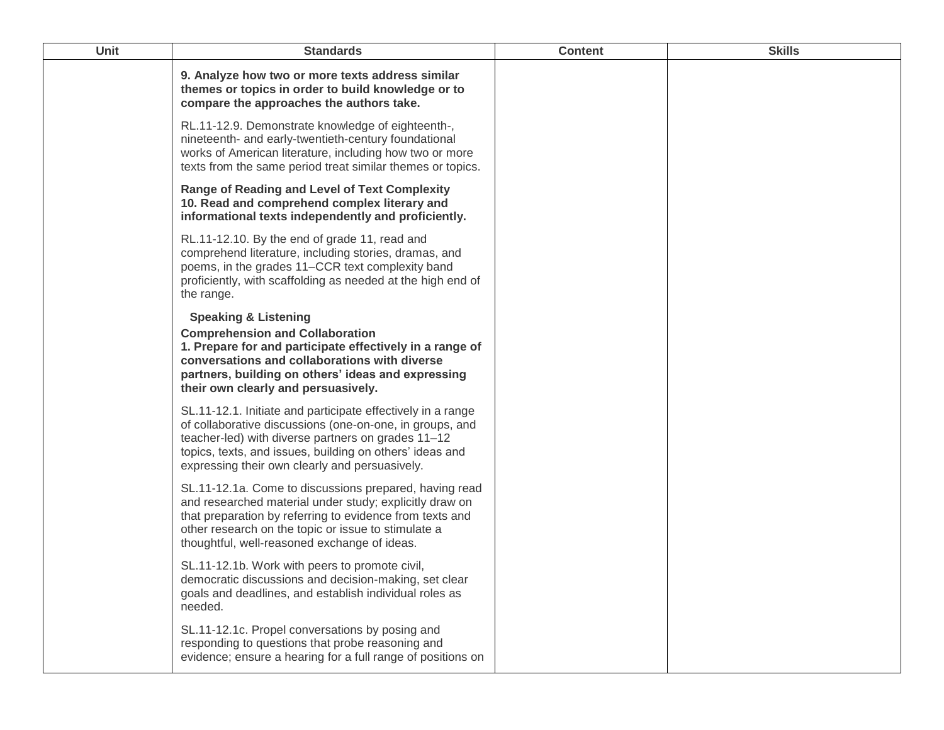| <b>Unit</b> | <b>Standards</b>                                                                                                                                                                                                                                                                            | <b>Content</b> | <b>Skills</b> |
|-------------|---------------------------------------------------------------------------------------------------------------------------------------------------------------------------------------------------------------------------------------------------------------------------------------------|----------------|---------------|
|             | 9. Analyze how two or more texts address similar<br>themes or topics in order to build knowledge or to<br>compare the approaches the authors take.                                                                                                                                          |                |               |
|             | RL.11-12.9. Demonstrate knowledge of eighteenth-,<br>nineteenth- and early-twentieth-century foundational<br>works of American literature, including how two or more<br>texts from the same period treat similar themes or topics.                                                          |                |               |
|             | <b>Range of Reading and Level of Text Complexity</b><br>10. Read and comprehend complex literary and<br>informational texts independently and proficiently.                                                                                                                                 |                |               |
|             | RL.11-12.10. By the end of grade 11, read and<br>comprehend literature, including stories, dramas, and<br>poems, in the grades 11–CCR text complexity band<br>proficiently, with scaffolding as needed at the high end of<br>the range.                                                     |                |               |
|             | <b>Speaking &amp; Listening</b><br><b>Comprehension and Collaboration</b><br>1. Prepare for and participate effectively in a range of<br>conversations and collaborations with diverse<br>partners, building on others' ideas and expressing<br>their own clearly and persuasively.         |                |               |
|             | SL.11-12.1. Initiate and participate effectively in a range<br>of collaborative discussions (one-on-one, in groups, and<br>teacher-led) with diverse partners on grades 11-12<br>topics, texts, and issues, building on others' ideas and<br>expressing their own clearly and persuasively. |                |               |
|             | SL.11-12.1a. Come to discussions prepared, having read<br>and researched material under study; explicitly draw on<br>that preparation by referring to evidence from texts and<br>other research on the topic or issue to stimulate a<br>thoughtful, well-reasoned exchange of ideas.        |                |               |
|             | SL.11-12.1b. Work with peers to promote civil,<br>democratic discussions and decision-making, set clear<br>goals and deadlines, and establish individual roles as<br>needed.                                                                                                                |                |               |
|             | SL.11-12.1c. Propel conversations by posing and<br>responding to questions that probe reasoning and<br>evidence; ensure a hearing for a full range of positions on                                                                                                                          |                |               |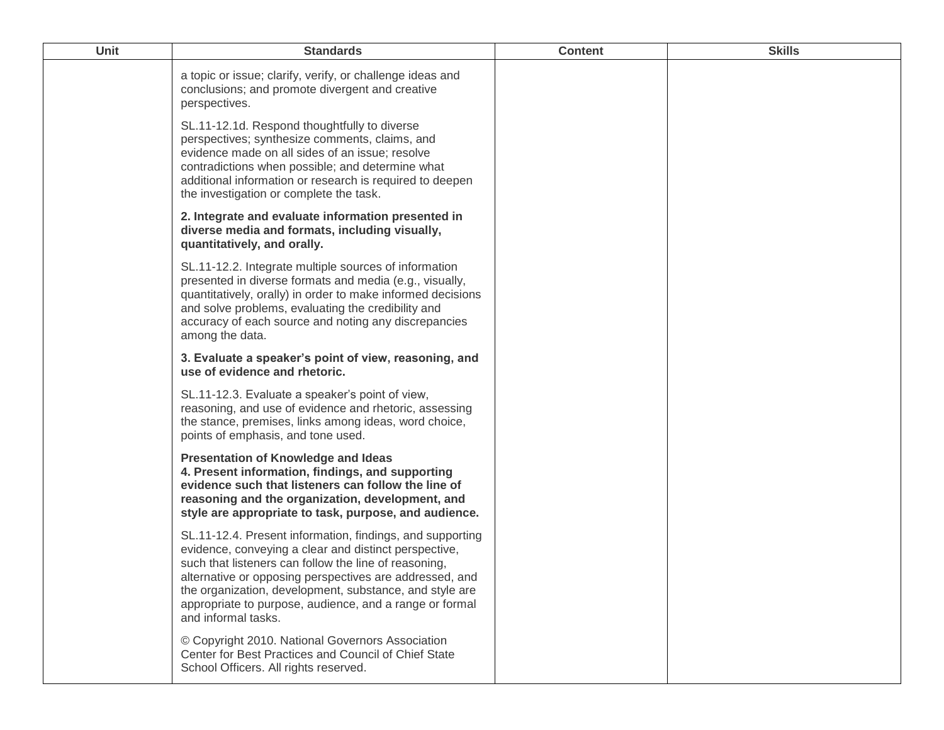| Unit | <b>Standards</b>                                                                                                                                                                                                                                                                                                                                                                    | <b>Content</b> | <b>Skills</b> |
|------|-------------------------------------------------------------------------------------------------------------------------------------------------------------------------------------------------------------------------------------------------------------------------------------------------------------------------------------------------------------------------------------|----------------|---------------|
|      | a topic or issue; clarify, verify, or challenge ideas and<br>conclusions; and promote divergent and creative<br>perspectives.                                                                                                                                                                                                                                                       |                |               |
|      | SL.11-12.1d. Respond thoughtfully to diverse<br>perspectives; synthesize comments, claims, and<br>evidence made on all sides of an issue; resolve<br>contradictions when possible; and determine what<br>additional information or research is required to deepen<br>the investigation or complete the task.                                                                        |                |               |
|      | 2. Integrate and evaluate information presented in<br>diverse media and formats, including visually,<br>quantitatively, and orally.                                                                                                                                                                                                                                                 |                |               |
|      | SL.11-12.2. Integrate multiple sources of information<br>presented in diverse formats and media (e.g., visually,<br>quantitatively, orally) in order to make informed decisions<br>and solve problems, evaluating the credibility and<br>accuracy of each source and noting any discrepancies<br>among the data.                                                                    |                |               |
|      | 3. Evaluate a speaker's point of view, reasoning, and<br>use of evidence and rhetoric.                                                                                                                                                                                                                                                                                              |                |               |
|      | SL.11-12.3. Evaluate a speaker's point of view,<br>reasoning, and use of evidence and rhetoric, assessing<br>the stance, premises, links among ideas, word choice,<br>points of emphasis, and tone used.                                                                                                                                                                            |                |               |
|      | <b>Presentation of Knowledge and Ideas</b><br>4. Present information, findings, and supporting<br>evidence such that listeners can follow the line of<br>reasoning and the organization, development, and<br>style are appropriate to task, purpose, and audience.                                                                                                                  |                |               |
|      | SL.11-12.4. Present information, findings, and supporting<br>evidence, conveying a clear and distinct perspective,<br>such that listeners can follow the line of reasoning,<br>alternative or opposing perspectives are addressed, and<br>the organization, development, substance, and style are<br>appropriate to purpose, audience, and a range or formal<br>and informal tasks. |                |               |
|      | © Copyright 2010. National Governors Association<br>Center for Best Practices and Council of Chief State<br>School Officers. All rights reserved.                                                                                                                                                                                                                                   |                |               |